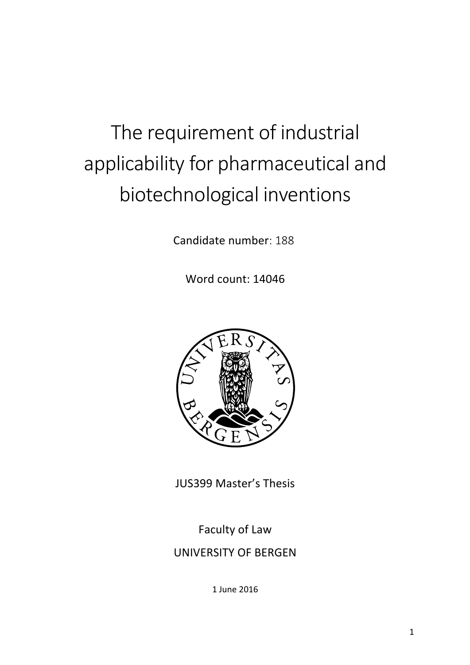# The requirement of industrial applicability for pharmaceutical and biotechnological inventions

Candidate number: 188

Word count: 14046



JUS399 Master's Thesis

Faculty of Law UNIVERSITY OF BERGEN

1 June 2016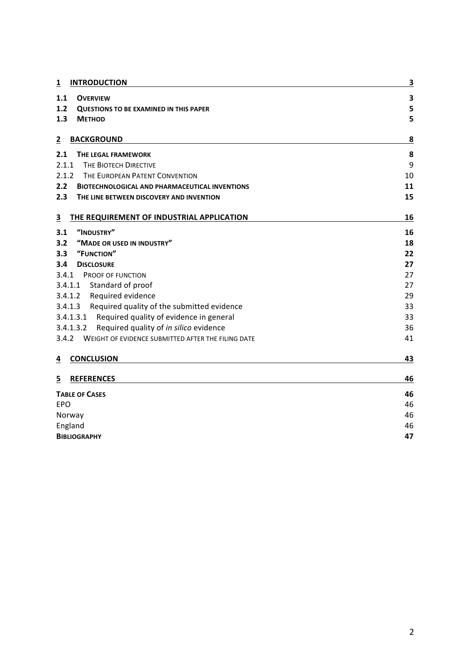| <b>INTRODUCTION</b><br>1                                     | 3  |
|--------------------------------------------------------------|----|
| 1.1<br><b>OVERVIEW</b>                                       | 3  |
| 1.2<br><b>QUESTIONS TO BE EXAMINED IN THIS PAPER</b>         | 5  |
| 1.3<br><b>METHOD</b>                                         | 5  |
| <b>BACKGROUND</b><br>2                                       | 8  |
| 2.1<br>THE LEGAL FRAMEWORK                                   | 8  |
| 2.1.1<br>THE BIOTECH DIRECTIVE                               | 9  |
| 2.1.2<br>THE EUROPEAN PATENT CONVENTION                      | 10 |
| 2.2<br><b>BIOTECHNOLOGICAL AND PHARMACEUTICAL INVENTIONS</b> | 11 |
| 2.3<br>THE LINE BETWEEN DISCOVERY AND INVENTION              | 15 |
| THE REQUIREMENT OF INDUSTRIAL APPLICATION<br>3               | 16 |
| "INDUSTRY"<br>3.1                                            | 16 |
| 3.2<br>"MADE OR USED IN INDUSTRY"                            | 18 |
| "FUNCTION"<br>3.3                                            | 22 |
| 3.4<br><b>DISCLOSURE</b>                                     | 27 |
| 3.4.1<br>PROOF OF FUNCTION                                   | 27 |
| 3.4.1.1<br>Standard of proof                                 | 27 |
| 3.4.1.2<br>Required evidence                                 | 29 |
| 3.4.1.3<br>Required quality of the submitted evidence        | 33 |
| Required quality of evidence in general<br>3.4.1.3.1         | 33 |
| 3.4.1.3.2<br>Required quality of in silico evidence          | 36 |
| 3.4.2<br>WEIGHT OF EVIDENCE SUBMITTED AFTER THE FILING DATE  | 41 |
| <b>CONCLUSION</b><br>4                                       | 43 |
| 5<br><b>REFERENCES</b>                                       | 46 |
| <b>TABLE OF CASES</b>                                        | 46 |
| <b>EPO</b>                                                   | 46 |
| Norway                                                       | 46 |
| England                                                      | 46 |
| <b>BIBLIOGRAPHY</b>                                          | 47 |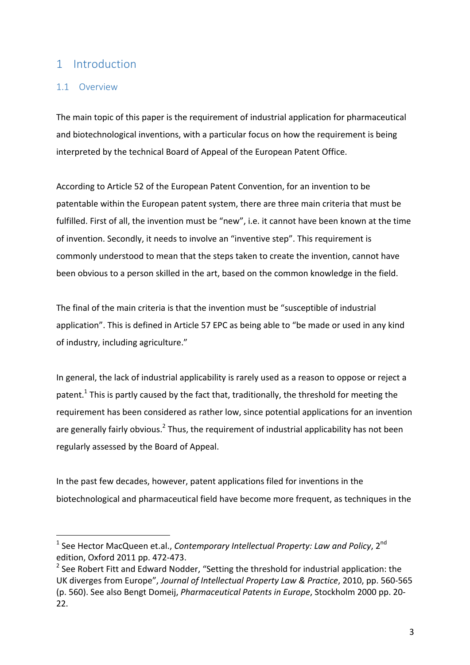# 1 Introduction

## 1.1 Overview

The main topic of this paper is the requirement of industrial application for pharmaceutical and biotechnological inventions, with a particular focus on how the requirement is being interpreted by the technical Board of Appeal of the European Patent Office.

According to Article 52 of the European Patent Convention, for an invention to be patentable within the European patent system, there are three main criteria that must be fulfilled. First of all, the invention must be "new", i.e. it cannot have been known at the time of invention. Secondly, it needs to involve an "inventive step". This requirement is commonly understood to mean that the steps taken to create the invention, cannot have been obvious to a person skilled in the art, based on the common knowledge in the field.

The final of the main criteria is that the invention must be "susceptible of industrial application". This is defined in Article 57 EPC as being able to "be made or used in any kind of industry, including agriculture."

In general, the lack of industrial applicability is rarely used as a reason to oppose or reject a patent.<sup>1</sup> This is partly caused by the fact that, traditionally, the threshold for meeting the requirement has been considered as rather low, since potential applications for an invention are generally fairly obvious.<sup>2</sup> Thus, the requirement of industrial applicability has not been regularly assessed by the Board of Appeal.

In the past few decades, however, patent applications filed for inventions in the biotechnological and pharmaceutical field have become more frequent, as techniques in the

<sup>&</sup>lt;sup>1</sup> See Hector MacQueen et.al., *Contemporary Intellectual Property: Law and Policy*, 2<sup>nd</sup> edition, Oxford 2011 pp. 472-473.

 $2$  See Robert Fitt and Edward Nodder, "Setting the threshold for industrial application: the UK diverges from Europe", Journal of Intellectual Property Law & Practice, 2010, pp. 560-565 (p. 560). See also Bengt Domeij, *Pharmaceutical Patents in Europe*, Stockholm 2000 pp. 20-22.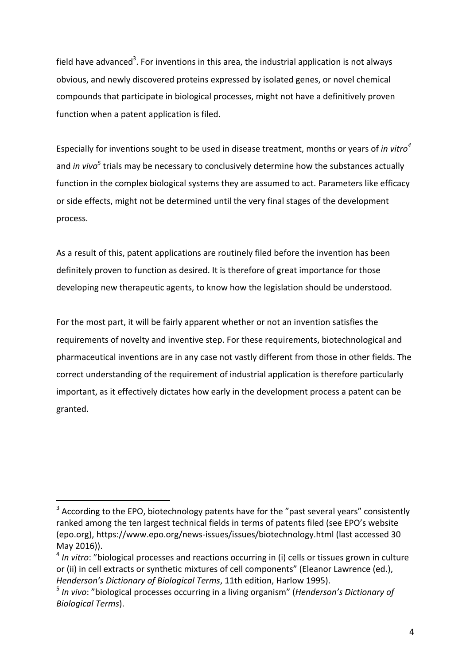field have advanced<sup>3</sup>. For inventions in this area, the industrial application is not always obvious, and newly discovered proteins expressed by isolated genes, or novel chemical compounds that participate in biological processes, might not have a definitively proven function when a patent application is filed.

Especially for inventions sought to be used in disease treatment, months or years of *in vitro*<sup>4</sup> and *in vivo*<sup>5</sup> trials may be necessary to conclusively determine how the substances actually function in the complex biological systems they are assumed to act. Parameters like efficacy or side effects, might not be determined until the very final stages of the development process. 

As a result of this, patent applications are routinely filed before the invention has been definitely proven to function as desired. It is therefore of great importance for those developing new therapeutic agents, to know how the legislation should be understood.

For the most part, it will be fairly apparent whether or not an invention satisfies the requirements of novelty and inventive step. For these requirements, biotechnological and pharmaceutical inventions are in any case not vastly different from those in other fields. The correct understanding of the requirement of industrial application is therefore particularly important, as it effectively dictates how early in the development process a patent can be granted. 

 $3$  According to the EPO, biotechnology patents have for the "past several years" consistently ranked among the ten largest technical fields in terms of patents filed (see EPO's website (epo.org), https://www.epo.org/news-issues/issues/biotechnology.html (last accessed 30 May 2016)). 

<sup>&</sup>lt;sup>4</sup> In vitro: "biological processes and reactions occurring in (i) cells or tissues grown in culture or (ii) in cell extracts or synthetic mixtures of cell components" (Eleanor Lawrence (ed.), *Henderson's Dictionary of Biological Terms*, 11th edition, Harlow 1995).

<sup>&</sup>lt;sup>5</sup> In vivo: "biological processes occurring in a living organism" (*Henderson's Dictionary of Biological Terms*).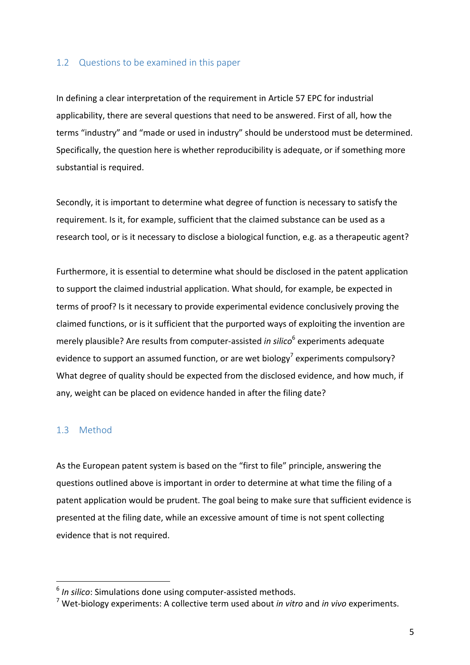#### 1.2 Questions to be examined in this paper

In defining a clear interpretation of the requirement in Article 57 EPC for industrial applicability, there are several questions that need to be answered. First of all, how the terms "industry" and "made or used in industry" should be understood must be determined. Specifically, the question here is whether reproducibility is adequate, or if something more substantial is required.

Secondly, it is important to determine what degree of function is necessary to satisfy the requirement. Is it, for example, sufficient that the claimed substance can be used as a research tool, or is it necessary to disclose a biological function, e.g. as a therapeutic agent?

Furthermore, it is essential to determine what should be disclosed in the patent application to support the claimed industrial application. What should, for example, be expected in terms of proof? Is it necessary to provide experimental evidence conclusively proving the claimed functions, or is it sufficient that the purported ways of exploiting the invention are merely plausible? Are results from computer-assisted *in silico*<sup>6</sup> experiments adequate evidence to support an assumed function, or are wet biology<sup>7</sup> experiments compulsory? What degree of quality should be expected from the disclosed evidence, and how much, if any, weight can be placed on evidence handed in after the filing date?

## 1.3 Method

 

As the European patent system is based on the "first to file" principle, answering the questions outlined above is important in order to determine at what time the filing of a patent application would be prudent. The goal being to make sure that sufficient evidence is presented at the filing date, while an excessive amount of time is not spent collecting evidence that is not required.

<sup>&</sup>lt;sup>6</sup> In silico: Simulations done using computer-assisted methods.

<sup>&</sup>lt;sup>7</sup> Wet-biology experiments: A collective term used about *in vitro* and *in vivo* experiments.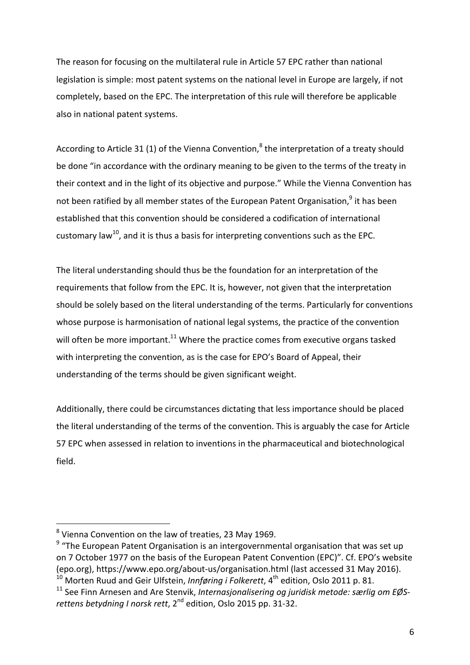The reason for focusing on the multilateral rule in Article 57 EPC rather than national legislation is simple: most patent systems on the national level in Europe are largely, if not completely, based on the EPC. The interpretation of this rule will therefore be applicable also in national patent systems.

According to Article 31 (1) of the Vienna Convention,<sup>8</sup> the interpretation of a treaty should be done "in accordance with the ordinary meaning to be given to the terms of the treaty in their context and in the light of its objective and purpose." While the Vienna Convention has not been ratified by all member states of the European Patent Organisation,<sup>9</sup> it has been established that this convention should be considered a codification of international customary law<sup>10</sup>, and it is thus a basis for interpreting conventions such as the EPC.

The literal understanding should thus be the foundation for an interpretation of the requirements that follow from the EPC. It is, however, not given that the interpretation should be solely based on the literal understanding of the terms. Particularly for conventions whose purpose is harmonisation of national legal systems, the practice of the convention will often be more important.<sup>11</sup> Where the practice comes from executive organs tasked with interpreting the convention, as is the case for EPO's Board of Appeal, their understanding of the terms should be given significant weight.

Additionally, there could be circumstances dictating that less importance should be placed the literal understanding of the terms of the convention. This is arguably the case for Article 57 EPC when assessed in relation to inventions in the pharmaceutical and biotechnological field. 

 $^8$  Vienna Convention on the law of treaties, 23 May 1969.

 $9$  "The European Patent Organisation is an intergovernmental organisation that was set up on 7 October 1977 on the basis of the European Patent Convention (EPC)". Cf. EPO's website (epo.org), https://www.epo.org/about-us/organisation.html (last accessed 31 May 2016).  $10$  Morten Ruud and Geir Ulfstein, *Innføring i Folkerett*, 4<sup>th</sup> edition, Oslo 2011 p. 81.

<sup>&</sup>lt;sup>11</sup> See Finn Arnesen and Are Stenvik, *Internasjonalisering og juridisk metode: særlig om EØS*rettens betydning I norsk rett, 2<sup>nd</sup> edition, Oslo 2015 pp. 31-32.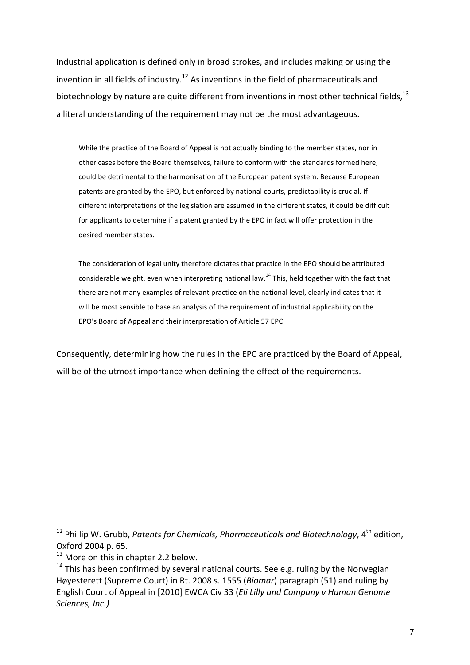Industrial application is defined only in broad strokes, and includes making or using the invention in all fields of industry.<sup>12</sup> As inventions in the field of pharmaceuticals and biotechnology by nature are quite different from inventions in most other technical fields,  $^{13}$ a literal understanding of the requirement may not be the most advantageous.

While the practice of the Board of Appeal is not actually binding to the member states, nor in other cases before the Board themselves, failure to conform with the standards formed here, could be detrimental to the harmonisation of the European patent system. Because European patents are granted by the EPO, but enforced by national courts, predictability is crucial. If different interpretations of the legislation are assumed in the different states, it could be difficult for applicants to determine if a patent granted by the EPO in fact will offer protection in the desired member states.

The consideration of legal unity therefore dictates that practice in the EPO should be attributed considerable weight, even when interpreting national law.<sup>14</sup> This, held together with the fact that there are not many examples of relevant practice on the national level, clearly indicates that it will be most sensible to base an analysis of the requirement of industrial applicability on the EPO's Board of Appeal and their interpretation of Article 57 EPC.

Consequently, determining how the rules in the EPC are practiced by the Board of Appeal, will be of the utmost importance when defining the effect of the requirements.

 $^{12}$  Phillip W. Grubb, *Patents for Chemicals, Pharmaceuticals and Biotechnology,* 4<sup>th</sup> edition, Oxford 2004 p. 65.

 $13$  More on this in chapter 2.2 below.

 $14$  This has been confirmed by several national courts. See e.g. ruling by the Norwegian Høyesterett (Supreme Court) in Rt. 2008 s. 1555 (*Biomar*) paragraph (51) and ruling by English Court of Appeal in [2010] EWCA Civ 33 (*Eli Lilly and Company v Human Genome Sciences, Inc.)*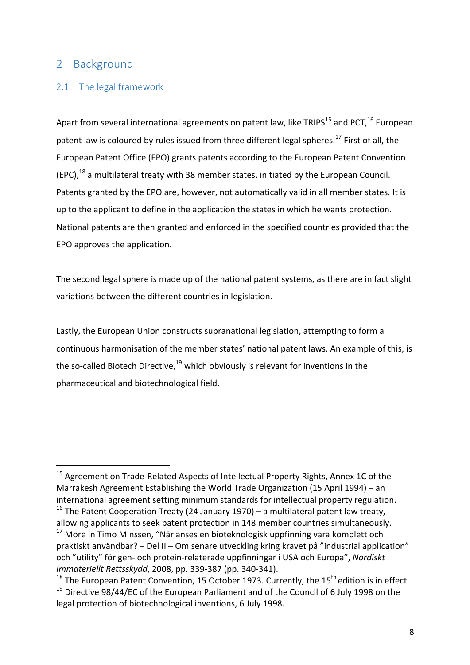# 2 Background

## 2.1 The legal framework

 

Apart from several international agreements on patent law, like TRIPS<sup>15</sup> and PCT, <sup>16</sup> European patent law is coloured by rules issued from three different legal spheres.<sup>17</sup> First of all, the European Patent Office (EPO) grants patents according to the European Patent Convention  $(EPC)$ ,<sup>18</sup> a multilateral treaty with 38 member states, initiated by the European Council. Patents granted by the EPO are, however, not automatically valid in all member states. It is up to the applicant to define in the application the states in which he wants protection. National patents are then granted and enforced in the specified countries provided that the EPO approves the application.

The second legal sphere is made up of the national patent systems, as there are in fact slight variations between the different countries in legislation.

Lastly, the European Union constructs supranational legislation, attempting to form a continuous harmonisation of the member states' national patent laws. An example of this, is the so-called Biotech Directive, $19$  which obviously is relevant for inventions in the pharmaceutical and biotechnological field.

 $15$  Agreement on Trade-Related Aspects of Intellectual Property Rights, Annex 1C of the Marrakesh Agreement Establishing the World Trade Organization (15 April 1994) – an international agreement setting minimum standards for intellectual property regulation.  $16$  The Patent Cooperation Treaty (24 January 1970) – a multilateral patent law treaty, allowing applicants to seek patent protection in 148 member countries simultaneously.

 $17$  More in Timo Minssen, "När anses en bioteknologisk uppfinning vara komplett och praktiskt användbar? – Del II – Om senare utveckling kring kravet på "industrial application" och "utility" för gen- och protein-relaterade uppfinningar i USA och Europa", Nordiskt *Immateriellt Rettsskydd*, 2008, pp. 339-387 (pp. 340-341).

<sup>&</sup>lt;sup>18</sup> The European Patent Convention, 15 October 1973. Currently, the 15<sup>th</sup> edition is in effect.  $19$  Directive 98/44/EC of the European Parliament and of the Council of 6 July 1998 on the legal protection of biotechnological inventions, 6 July 1998.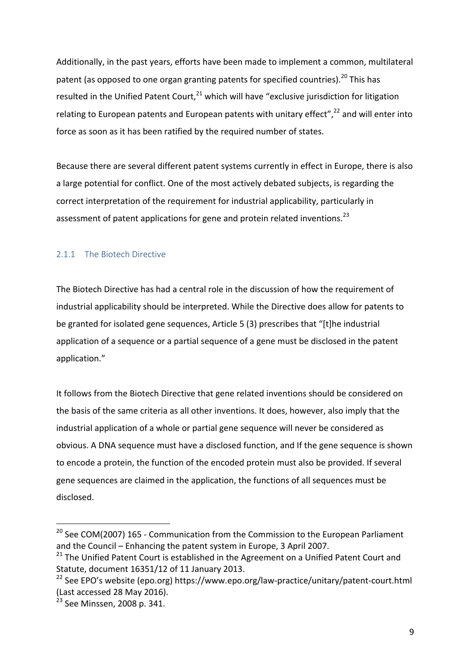Additionally, in the past years, efforts have been made to implement a common, multilateral patent (as opposed to one organ granting patents for specified countries).<sup>20</sup> This has resulted in the Unified Patent Court, $^{21}$  which will have "exclusive jurisdiction for litigation relating to European patents and European patents with unitary effect", $22$  and will enter into force as soon as it has been ratified by the required number of states.

Because there are several different patent systems currently in effect in Europe, there is also a large potential for conflict. One of the most actively debated subjects, is regarding the correct interpretation of the requirement for industrial applicability, particularly in assessment of patent applications for gene and protein related inventions.<sup>23</sup>

## 2.1.1 The Biotech Directive

The Biotech Directive has had a central role in the discussion of how the requirement of industrial applicability should be interpreted. While the Directive does allow for patents to be granted for isolated gene sequences, Article 5 (3) prescribes that "[t]he industrial application of a sequence or a partial sequence of a gene must be disclosed in the patent application."

It follows from the Biotech Directive that gene related inventions should be considered on the basis of the same criteria as all other inventions. It does, however, also imply that the industrial application of a whole or partial gene sequence will never be considered as obvious. A DNA sequence must have a disclosed function, and If the gene sequence is shown to encode a protein, the function of the encoded protein must also be provided. If several gene sequences are claimed in the application, the functions of all sequences must be disclosed.

<sup>&</sup>lt;sup>20</sup> See COM(2007) 165 - Communication from the Commission to the European Parliament and the Council – Enhancing the patent system in Europe, 3 April 2007.

 $21$  The Unified Patent Court is established in the Agreement on a Unified Patent Court and Statute, document 16351/12 of 11 January 2013.

 $22$  See EPO's website (epo.org) https://www.epo.org/law-practice/unitary/patent-court.html (Last accessed 28 May 2016).

<sup>&</sup>lt;sup>23</sup> See Minssen, 2008 p. 341.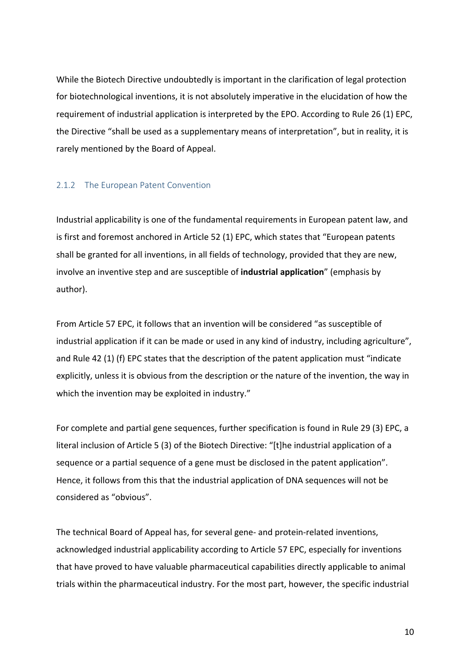While the Biotech Directive undoubtedly is important in the clarification of legal protection for biotechnological inventions, it is not absolutely imperative in the elucidation of how the requirement of industrial application is interpreted by the EPO. According to Rule 26 (1) EPC, the Directive "shall be used as a supplementary means of interpretation", but in reality, it is rarely mentioned by the Board of Appeal.

#### 2.1.2 The European Patent Convention

Industrial applicability is one of the fundamental requirements in European patent law, and is first and foremost anchored in Article 52 (1) EPC, which states that "European patents shall be granted for all inventions, in all fields of technology, provided that they are new, involve an inventive step and are susceptible of *industrial application*" (emphasis by author).

From Article 57 EPC, it follows that an invention will be considered "as susceptible of industrial application if it can be made or used in any kind of industry, including agriculture", and Rule 42 (1) (f) EPC states that the description of the patent application must "indicate explicitly, unless it is obvious from the description or the nature of the invention, the way in which the invention may be exploited in industry."

For complete and partial gene sequences, further specification is found in Rule 29 (3) EPC, a literal inclusion of Article 5 (3) of the Biotech Directive: "[t]he industrial application of a sequence or a partial sequence of a gene must be disclosed in the patent application". Hence, it follows from this that the industrial application of DNA sequences will not be considered as "obvious".

The technical Board of Appeal has, for several gene- and protein-related inventions, acknowledged industrial applicability according to Article 57 EPC, especially for inventions that have proved to have valuable pharmaceutical capabilities directly applicable to animal trials within the pharmaceutical industry. For the most part, however, the specific industrial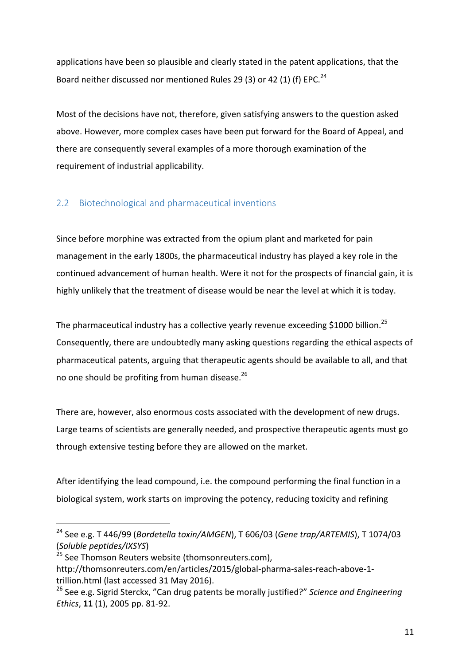applications have been so plausible and clearly stated in the patent applications, that the Board neither discussed nor mentioned Rules 29 (3) or 42 (1) (f) EPC.<sup>24</sup>

Most of the decisions have not, therefore, given satisfying answers to the question asked above. However, more complex cases have been put forward for the Board of Appeal, and there are consequently several examples of a more thorough examination of the requirement of industrial applicability.

## 2.2 Biotechnological and pharmaceutical inventions

Since before morphine was extracted from the opium plant and marketed for pain management in the early 1800s, the pharmaceutical industry has played a key role in the continued advancement of human health. Were it not for the prospects of financial gain, it is highly unlikely that the treatment of disease would be near the level at which it is today.

The pharmaceutical industry has a collective yearly revenue exceeding \$1000 billion.<sup>25</sup> Consequently, there are undoubtedly many asking questions regarding the ethical aspects of pharmaceutical patents, arguing that therapeutic agents should be available to all, and that no one should be profiting from human disease.<sup>26</sup>

There are, however, also enormous costs associated with the development of new drugs. Large teams of scientists are generally needed, and prospective therapeutic agents must go through extensive testing before they are allowed on the market.

After identifying the lead compound, i.e. the compound performing the final function in a biological system, work starts on improving the potency, reducing toxicity and refining

<sup>&</sup>lt;sup>24</sup> See e.g. T 446/99 (*Bordetella toxin/AMGEN*), T 606/03 (Gene trap/ARTEMIS), T 1074/03 (*Soluble peptides/IXSYS*)

<sup>&</sup>lt;sup>25</sup> See Thomson Reuters website (thomsonreuters.com),

http://thomsonreuters.com/en/articles/2015/global-pharma-sales-reach-above-1 trillion.html (last accessed 31 May 2016).

<sup>&</sup>lt;sup>26</sup> See e.g. Sigrid Sterckx, "Can drug patents be morally justified?" *Science and Engineering Ethics*, **11** (1), 2005 pp. 81-92.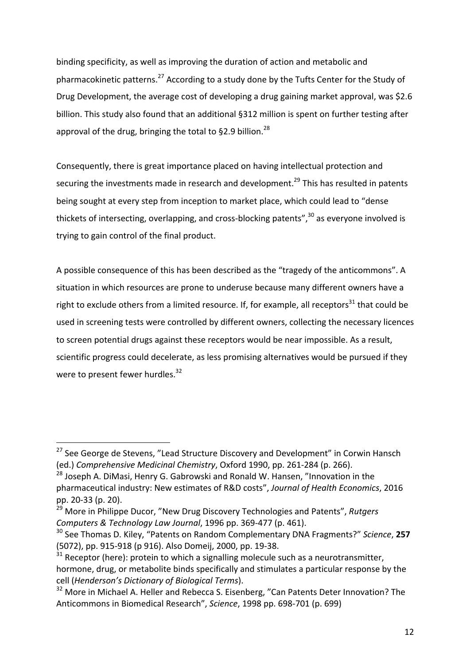binding specificity, as well as improving the duration of action and metabolic and pharmacokinetic patterns.<sup>27</sup> According to a study done by the Tufts Center for the Study of Drug Development, the average cost of developing a drug gaining market approval, was \$2.6 billion. This study also found that an additional §312 million is spent on further testing after approval of the drug, bringing the total to §2.9 billion.<sup>28</sup>

Consequently, there is great importance placed on having intellectual protection and securing the investments made in research and development.<sup>29</sup> This has resulted in patents being sought at every step from inception to market place, which could lead to "dense thickets of intersecting, overlapping, and cross-blocking patents", $30$  as everyone involved is trying to gain control of the final product.

A possible consequence of this has been described as the "tragedy of the anticommons". A situation in which resources are prone to underuse because many different owners have a right to exclude others from a limited resource. If, for example, all receptors<sup>31</sup> that could be used in screening tests were controlled by different owners, collecting the necessary licences to screen potential drugs against these receptors would be near impossible. As a result, scientific progress could decelerate, as less promising alternatives would be pursued if they were to present fewer hurdles. $32$ 

 $27$  See George de Stevens, "Lead Structure Discovery and Development" in Corwin Hansch (ed.) Comprehensive Medicinal Chemistry, Oxford 1990, pp. 261-284 (p. 266).

 $^{28}$  Joseph A. DiMasi, Henry G. Gabrowski and Ronald W. Hansen, "Innovation in the pharmaceutical industry: New estimates of R&D costs", Journal of Health Economics, 2016 pp. 20-33 (p. 20).

<sup>29</sup> More in Philippe Ducor, "New Drug Discovery Technologies and Patents", *Rutgers Computers & Technology Law Journal*, 1996 pp. 369-477 (p. 461).

<sup>&</sup>lt;sup>30</sup> See Thomas D. Kiley, "Patents on Random Complementary DNA Fragments?" Science, 257 (5072), pp. 915-918 (p 916). Also Domeij, 2000, pp. 19-38.

 $31$  Receptor (here): protein to which a signalling molecule such as a neurotransmitter, hormone, drug, or metabolite binds specifically and stimulates a particular response by the cell (*Henderson's Dictionary of Biological Terms*).

 $32$  More in Michael A. Heller and Rebecca S. Eisenberg, "Can Patents Deter Innovation? The Anticommons in Biomedical Research", Science, 1998 pp. 698-701 (p. 699)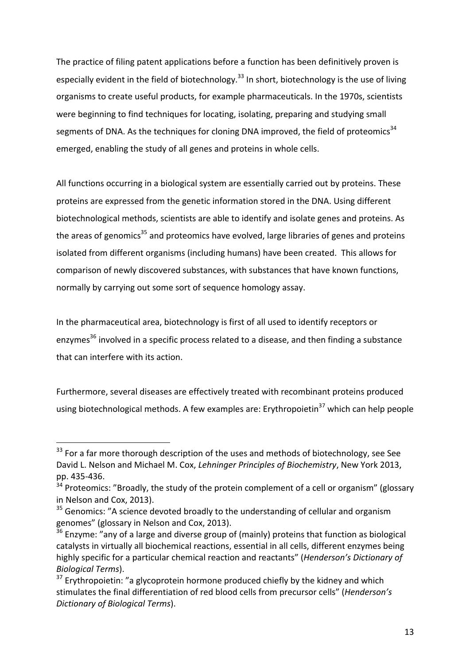The practice of filing patent applications before a function has been definitively proven is especially evident in the field of biotechnology.<sup>33</sup> In short, biotechnology is the use of living organisms to create useful products, for example pharmaceuticals. In the 1970s, scientists were beginning to find techniques for locating, isolating, preparing and studying small segments of DNA. As the techniques for cloning DNA improved, the field of proteomics<sup>34</sup> emerged, enabling the study of all genes and proteins in whole cells.

All functions occurring in a biological system are essentially carried out by proteins. These proteins are expressed from the genetic information stored in the DNA. Using different biotechnological methods, scientists are able to identify and isolate genes and proteins. As the areas of genomics<sup>35</sup> and proteomics have evolved, large libraries of genes and proteins isolated from different organisms (including humans) have been created. This allows for comparison of newly discovered substances, with substances that have known functions, normally by carrying out some sort of sequence homology assay.

In the pharmaceutical area, biotechnology is first of all used to identify receptors or enzvmes<sup>36</sup> involved in a specific process related to a disease, and then finding a substance that can interfere with its action.

Furthermore, several diseases are effectively treated with recombinant proteins produced using biotechnological methods. A few examples are: Erythropoietin<sup>37</sup> which can help people

 $33$  For a far more thorough description of the uses and methods of biotechnology, see See David L. Nelson and Michael M. Cox, *Lehninger Principles of Biochemistry*, New York 2013, pp. 435-436.

 $34$  Proteomics: "Broadly, the study of the protein complement of a cell or organism" (glossary in Nelson and Cox, 2013).

 $35$  Genomics: "A science devoted broadly to the understanding of cellular and organism genomes" (glossary in Nelson and Cox, 2013).

 $36$  Enzyme: "any of a large and diverse group of (mainly) proteins that function as biological catalysts in virtually all biochemical reactions, essential in all cells, different enzymes being highly specific for a particular chemical reaction and reactants" (*Henderson's Dictionary of Biological Terms*).

 $37$  Erythropoietin: "a glycoprotein hormone produced chiefly by the kidney and which stimulates the final differentiation of red blood cells from precursor cells" (*Henderson's Dictionary of Biological Terms*).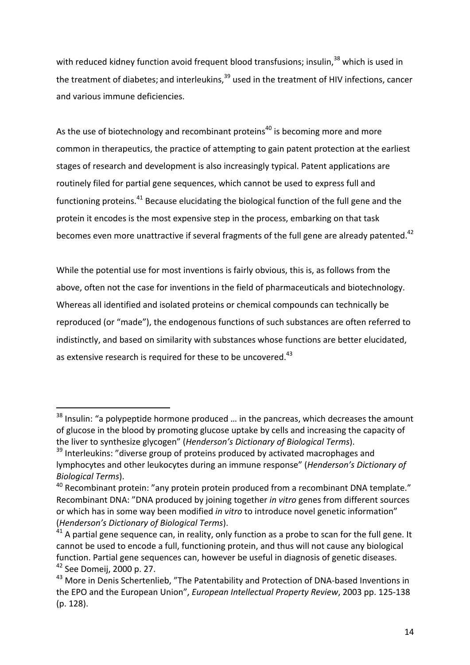with reduced kidney function avoid frequent blood transfusions; insulin, $38$  which is used in the treatment of diabetes; and interleukins, $39$  used in the treatment of HIV infections, cancer and various immune deficiencies.

As the use of biotechnology and recombinant proteins<sup>40</sup> is becoming more and more common in therapeutics, the practice of attempting to gain patent protection at the earliest stages of research and development is also increasingly typical. Patent applications are routinely filed for partial gene sequences, which cannot be used to express full and functioning proteins.<sup>41</sup> Because elucidating the biological function of the full gene and the protein it encodes is the most expensive step in the process, embarking on that task becomes even more unattractive if several fragments of the full gene are already patented.<sup>42</sup>

While the potential use for most inventions is fairly obvious, this is, as follows from the above, often not the case for inventions in the field of pharmaceuticals and biotechnology. Whereas all identified and isolated proteins or chemical compounds can technically be reproduced (or "made"), the endogenous functions of such substances are often referred to indistinctly, and based on similarity with substances whose functions are better elucidated, as extensive research is required for these to be uncovered.<sup>43</sup>

 $38$  Insulin: "a polypeptide hormone produced ... in the pancreas, which decreases the amount of glucose in the blood by promoting glucose uptake by cells and increasing the capacity of the liver to synthesize glycogen" (*Henderson's Dictionary of Biological Terms*).

 $39$  Interleukins: "diverse group of proteins produced by activated macrophages and lymphocytes and other leukocytes during an immune response" (*Henderson's Dictionary of Biological Terms*). 

 $40$  Recombinant protein: "any protein protein produced from a recombinant DNA template." Recombinant DNA: "DNA produced by joining together *in vitro* genes from different sources or which has in some way been modified *in vitro* to introduce novel genetic information" (*Henderson's Dictionary of Biological Terms*).

 $41$  A partial gene sequence can, in reality, only function as a probe to scan for the full gene. It cannot be used to encode a full, functioning protein, and thus will not cause any biological function. Partial gene sequences can, however be useful in diagnosis of genetic diseases.  $42$  See Domeij, 2000 p. 27.

 $43$  More in Denis Schertenlieb, "The Patentability and Protection of DNA-based Inventions in the EPO and the European Union", *European Intellectual Property Review*, 2003 pp. 125-138 (p. 128).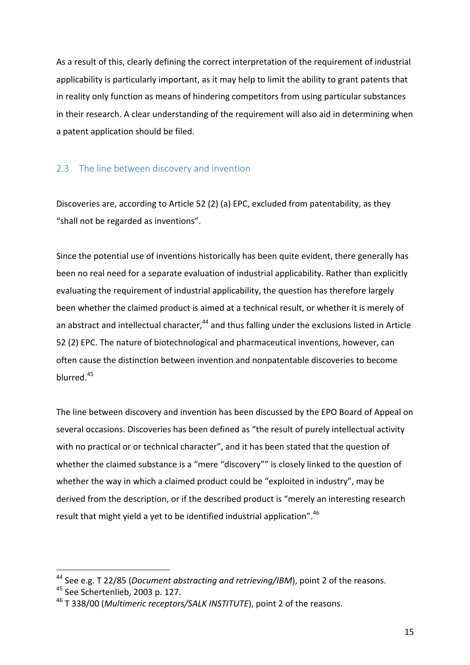As a result of this, clearly defining the correct interpretation of the requirement of industrial applicability is particularly important, as it may help to limit the ability to grant patents that in reality only function as means of hindering competitors from using particular substances in their research. A clear understanding of the requirement will also aid in determining when a patent application should be filed.

#### 2.3 The line between discovery and invention

Discoveries are, according to Article 52 (2) (a) EPC, excluded from patentability, as they "shall not be regarded as inventions".

Since the potential use of inventions historically has been quite evident, there generally has been no real need for a separate evaluation of industrial applicability. Rather than explicitly evaluating the requirement of industrial applicability, the question has therefore largely been whether the claimed product is aimed at a technical result, or whether it is merely of an abstract and intellectual character,  $44$  and thus falling under the exclusions listed in Article 52 (2) EPC. The nature of biotechnological and pharmaceutical inventions, however, can often cause the distinction between invention and nonpatentable discoveries to become blurred. 45

The line between discovery and invention has been discussed by the EPO Board of Appeal on several occasions. Discoveries has been defined as "the result of purely intellectual activity with no practical or or technical character", and it has been stated that the question of whether the claimed substance is a "mere "discovery"" is closely linked to the question of whether the way in which a claimed product could be "exploited in industry", may be derived from the description, or if the described product is "merely an interesting research result that might yield a yet to be identified industrial application".  $46$ 

<sup>&</sup>lt;sup>44</sup> See e.g. T 22/85 (*Document abstracting and retrieving/IBM*), point 2 of the reasons.

<sup>&</sup>lt;sup>45</sup> See Schertenlieb, 2003 p. 127.

<sup>&</sup>lt;sup>46</sup> T 338/00 (*Multimeric receptors/SALK INSTITUTE*), point 2 of the reasons.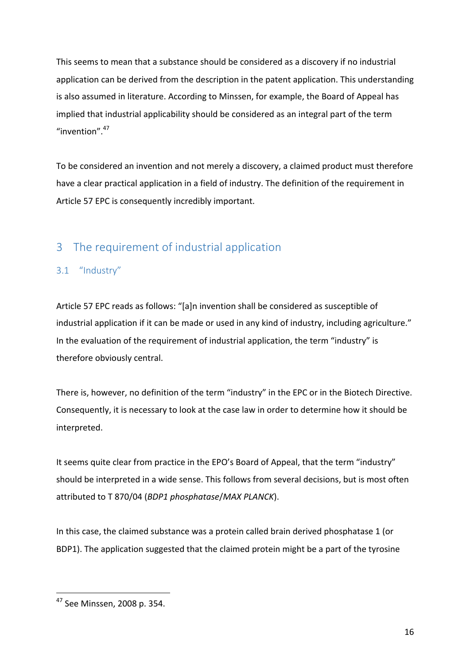This seems to mean that a substance should be considered as a discovery if no industrial application can be derived from the description in the patent application. This understanding is also assumed in literature. According to Minssen, for example, the Board of Appeal has implied that industrial applicability should be considered as an integral part of the term "invention". $47$ 

To be considered an invention and not merely a discovery, a claimed product must therefore have a clear practical application in a field of industry. The definition of the requirement in Article 57 EPC is consequently incredibly important.

# 3 The requirement of industrial application

# 3.1 "Industry"

Article 57 EPC reads as follows: "[a]n invention shall be considered as susceptible of industrial application if it can be made or used in any kind of industry, including agriculture." In the evaluation of the requirement of industrial application, the term "industry" is therefore obviously central.

There is, however, no definition of the term "industry" in the EPC or in the Biotech Directive. Consequently, it is necessary to look at the case law in order to determine how it should be interpreted.

It seems quite clear from practice in the EPO's Board of Appeal, that the term "industry" should be interpreted in a wide sense. This follows from several decisions, but is most often attributed to T 870/04 (*BDP1 phosphatase*/*MAX PLANCK*). 

In this case, the claimed substance was a protein called brain derived phosphatase 1 (or BDP1). The application suggested that the claimed protein might be a part of the tyrosine

 <sup>47</sup> See Minssen, 2008 p. 354.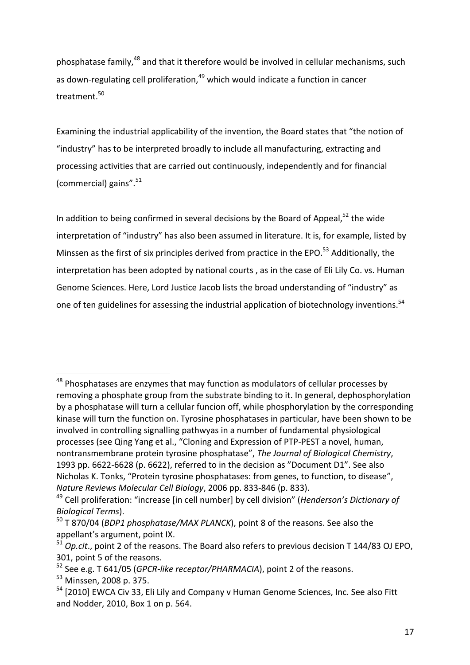phosphatase family, $^{48}$  and that it therefore would be involved in cellular mechanisms, such as down-regulating cell proliferation, $49$  which would indicate a function in cancer treatment.<sup>50</sup>

Examining the industrial applicability of the invention, the Board states that "the notion of "industry" has to be interpreted broadly to include all manufacturing, extracting and processing activities that are carried out continuously, independently and for financial (commercial) gains". $51$ 

In addition to being confirmed in several decisions by the Board of Appeal,<sup>52</sup> the wide interpretation of "industry" has also been assumed in literature. It is, for example, listed by Minssen as the first of six principles derived from practice in the EPO.<sup>53</sup> Additionally, the interpretation has been adopted by national courts, as in the case of Eli Lily Co. vs. Human Genome Sciences. Here, Lord Justice Jacob lists the broad understanding of "industry" as one of ten guidelines for assessing the industrial application of biotechnology inventions.<sup>54</sup>

 $48$  Phosphatases are enzymes that may function as modulators of cellular processes by removing a phosphate group from the substrate binding to it. In general, dephosphorylation by a phosphatase will turn a cellular funcion off, while phosphorylation by the corresponding kinase will turn the function on. Tyrosine phosphatases in particular, have been shown to be involved in controlling signalling pathwyas in a number of fundamental physiological processes (see Qing Yang et al., "Cloning and Expression of PTP-PEST a novel, human, nontransmembrane protein tyrosine phosphatase", The Journal of Biological Chemistry, 1993 pp. 6622-6628 (p. 6622), referred to in the decision as "Document D1". See also Nicholas K. Tonks, "Protein tyrosine phosphatases: from genes, to function, to disease", *Nature Reviews Molecular Cell Biology*, 2006 pp. 833-846 (p. 833).

<sup>&</sup>lt;sup>49</sup> Cell proliferation: "increase [in cell number] by cell division" (*Henderson's Dictionary of Biological Terms*).

<sup>&</sup>lt;sup>50</sup> T 870/04 (*BDP1 phosphatase/MAX PLANCK*), point 8 of the reasons. See also the appellant's argument, point IX.

<sup>&</sup>lt;sup>51</sup> *Op.cit.*, point 2 of the reasons. The Board also refers to previous decision T 144/83 OJ EPO, 301, point 5 of the reasons.

<sup>&</sup>lt;sup>52</sup> See e.g. T 641/05 (*GPCR-like receptor/PHARMACIA*), point 2 of the reasons.

<sup>&</sup>lt;sup>53</sup> Minssen, 2008 p. 375.

 $54$  [2010] EWCA Civ 33, Eli Lily and Company v Human Genome Sciences, Inc. See also Fitt and Nodder, 2010, Box 1 on p. 564.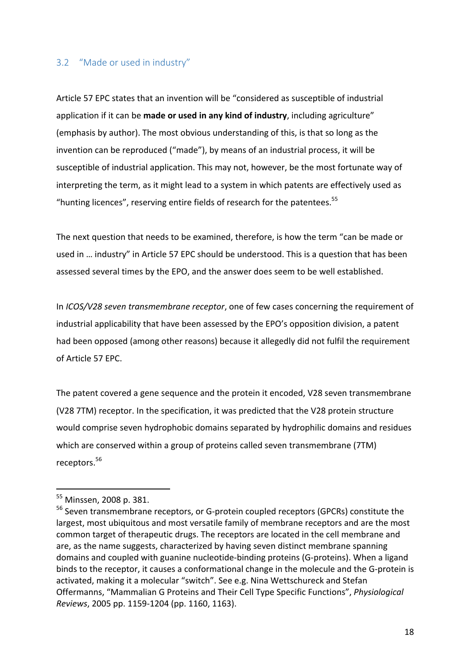#### 3.2 "Made or used in industry"

Article 57 EPC states that an invention will be "considered as susceptible of industrial application if it can be made or used in any kind of industry, including agriculture" (emphasis by author). The most obvious understanding of this, is that so long as the invention can be reproduced ("made"), by means of an industrial process, it will be susceptible of industrial application. This may not, however, be the most fortunate way of interpreting the term, as it might lead to a system in which patents are effectively used as "hunting licences", reserving entire fields of research for the patentees. $55$ 

The next question that needs to be examined, therefore, is how the term "can be made or used in ... industry" in Article 57 EPC should be understood. This is a question that has been assessed several times by the EPO, and the answer does seem to be well established.

In *ICOS/V28* seven transmembrane receptor, one of few cases concerning the requirement of industrial applicability that have been assessed by the EPO's opposition division, a patent had been opposed (among other reasons) because it allegedly did not fulfil the requirement of Article 57 EPC.

The patent covered a gene sequence and the protein it encoded, V28 seven transmembrane (V28 7TM) receptor. In the specification, it was predicted that the V28 protein structure would comprise seven hydrophobic domains separated by hydrophilic domains and residues which are conserved within a group of proteins called seven transmembrane (7TM) receptors.<sup>56</sup>

<sup>&</sup>lt;sup>55</sup> Minssen, 2008 p. 381.

 $56$  Seven transmembrane receptors, or G-protein coupled receptors (GPCRs) constitute the largest, most ubiquitous and most versatile family of membrane receptors and are the most common target of therapeutic drugs. The receptors are located in the cell membrane and are, as the name suggests, characterized by having seven distinct membrane spanning domains and coupled with guanine nucleotide-binding proteins (G-proteins). When a ligand binds to the receptor, it causes a conformational change in the molecule and the G-protein is activated, making it a molecular "switch". See e.g. Nina Wettschureck and Stefan Offermanns, "Mammalian G Proteins and Their Cell Type Specific Functions", *Physiological Reviews*, 2005 pp. 1159-1204 (pp. 1160, 1163).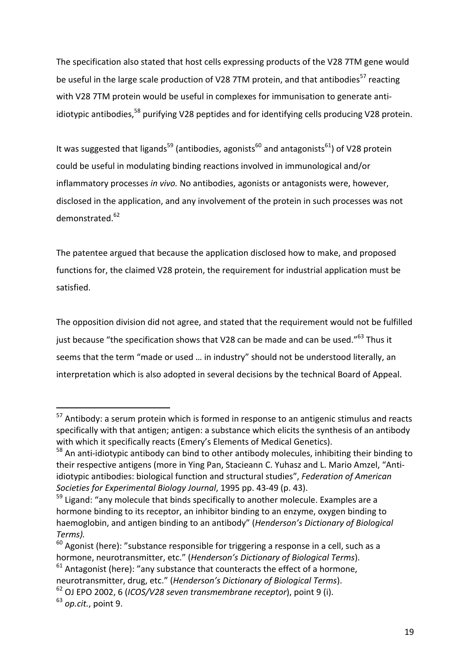The specification also stated that host cells expressing products of the V28 7TM gene would be useful in the large scale production of V28 7TM protein, and that antibodies<sup>57</sup> reacting with V28 7TM protein would be useful in complexes for immunisation to generate antiidiotypic antibodies,<sup>58</sup> purifying V28 peptides and for identifying cells producing V28 protein.

It was suggested that ligands<sup>59</sup> (antibodies, agonists<sup>60</sup> and antagonists<sup>61</sup>) of V28 protein could be useful in modulating binding reactions involved in immunological and/or inflammatory processes in vivo. No antibodies, agonists or antagonists were, however, disclosed in the application, and any involvement of the protein in such processes was not demonstrated.<sup>62</sup>

The patentee argued that because the application disclosed how to make, and proposed functions for, the claimed V28 protein, the requirement for industrial application must be satisfied. 

The opposition division did not agree, and stated that the requirement would not be fulfilled just because "the specification shows that V28 can be made and can be used."<sup>63</sup> Thus it seems that the term "made or used ... in industry" should not be understood literally, an interpretation which is also adopted in several decisions by the technical Board of Appeal.

 $57$  Antibody: a serum protein which is formed in response to an antigenic stimulus and reacts specifically with that antigen; antigen: a substance which elicits the synthesis of an antibody with which it specifically reacts (Emery's Elements of Medical Genetics).

 $58$  An anti-idiotypic antibody can bind to other antibody molecules, inhibiting their binding to their respective antigens (more in Ying Pan, Stacieann C. Yuhasz and L. Mario Amzel, "Antiidiotypic antibodies: biological function and structural studies", *Federation of American* Societies for Experimental Biology Journal, 1995 pp. 43-49 (p. 43).

 $59$  Ligand: "any molecule that binds specifically to another molecule. Examples are a hormone binding to its receptor, an inhibitor binding to an enzyme, oxygen binding to haemoglobin, and antigen binding to an antibody" (*Henderson's Dictionary of Biological Terms).*

 $60$  Agonist (here): "substance responsible for triggering a response in a cell, such as a hormone, neurotransmitter, etc." (*Henderson's Dictionary of Biological Terms*).

 $61$  Antagonist (here): "any substance that counteracts the effect of a hormone,

neurotransmitter, drug, etc." (*Henderson's Dictionary of Biological Terms*).

<sup>&</sup>lt;sup>62</sup> OJ EPO 2002, 6 (*ICOS/V28 seven transmembrane receptor*), point 9 (i).

<sup>&</sup>lt;sup>63</sup> op.cit., point 9.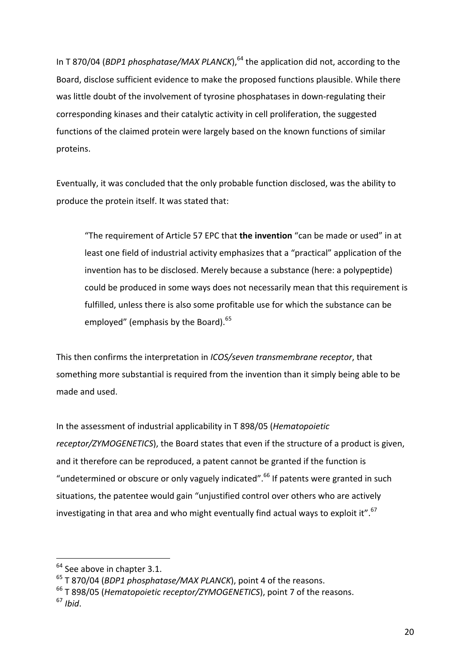In T 870/04 (*BDP1* phosphatase/MAX PLANCK),  $64$  the application did not, according to the Board, disclose sufficient evidence to make the proposed functions plausible. While there was little doubt of the involvement of tyrosine phosphatases in down-regulating their corresponding kinases and their catalytic activity in cell proliferation, the suggested functions of the claimed protein were largely based on the known functions of similar proteins. 

Eventually, it was concluded that the only probable function disclosed, was the ability to produce the protein itself. It was stated that:

"The requirement of Article 57 EPC that **the invention** "can be made or used" in at least one field of industrial activity emphasizes that a "practical" application of the invention has to be disclosed. Merely because a substance (here: a polypeptide) could be produced in some ways does not necessarily mean that this requirement is fulfilled, unless there is also some profitable use for which the substance can be employed" (emphasis by the Board). $65$ 

This then confirms the interpretation in *ICOS/seven transmembrane receptor*, that something more substantial is required from the invention than it simply being able to be made and used.

In the assessment of industrial applicability in T 898/05 (*Hematopoietic receptor/ZYMOGENETICS*), the Board states that even if the structure of a product is given, and it therefore can be reproduced, a patent cannot be granted if the function is "undetermined or obscure or only vaguely indicated".<sup>66</sup> If patents were granted in such situations, the patentee would gain "unjustified control over others who are actively investigating in that area and who might eventually find actual ways to exploit it". $67$ 

  $64$  See above in chapter 3.1.

<sup>&</sup>lt;sup>65</sup> T 870/04 (*BDP1 phosphatase/MAX PLANCK*), point 4 of the reasons.

<sup>&</sup>lt;sup>66</sup> T 898/05 (*Hematopoietic receptor/ZYMOGENETICS*), point 7 of the reasons. <sup>67</sup> *Ibid*.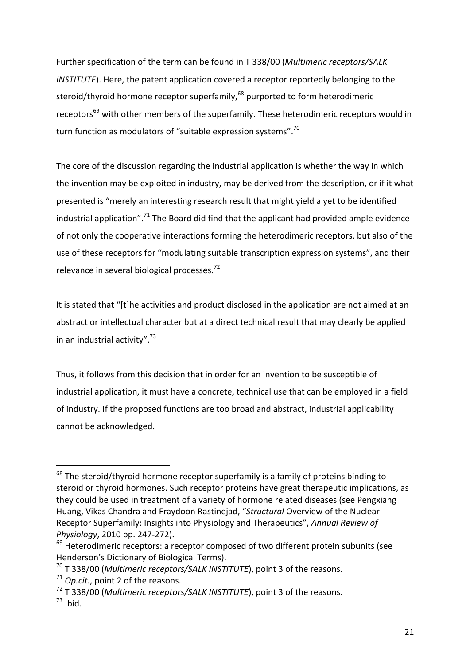Further specification of the term can be found in T 338/00 (*Multimeric receptors/SALK INSTITUTE*). Here, the patent application covered a receptor reportedly belonging to the steroid/thyroid hormone receptor superfamily, $^{68}$  purported to form heterodimeric receptors<sup>69</sup> with other members of the superfamily. These heterodimeric receptors would in turn function as modulators of "suitable expression systems".<sup>70</sup>

The core of the discussion regarding the industrial application is whether the way in which the invention may be exploited in industry, may be derived from the description, or if it what presented is "merely an interesting research result that might yield a yet to be identified industrial application".<sup>71</sup> The Board did find that the applicant had provided ample evidence of not only the cooperative interactions forming the heterodimeric receptors, but also of the use of these receptors for "modulating suitable transcription expression systems", and their relevance in several biological processes.<sup>72</sup>

It is stated that "[t]he activities and product disclosed in the application are not aimed at an abstract or intellectual character but at a direct technical result that may clearly be applied in an industrial activity". $73$ 

Thus, it follows from this decision that in order for an invention to be susceptible of industrial application, it must have a concrete, technical use that can be employed in a field of industry. If the proposed functions are too broad and abstract, industrial applicability cannot be acknowledged.

 $68$  The steroid/thyroid hormone receptor superfamily is a family of proteins binding to steroid or thyroid hormones. Such receptor proteins have great therapeutic implications, as they could be used in treatment of a variety of hormone related diseases (see Pengxiang Huang, Vikas Chandra and Fraydoon Rastinejad, "Structural Overview of the Nuclear Receptor Superfamily: Insights into Physiology and Therapeutics", Annual Review of *Physiology*, 2010 pp. 247-272).

 $69$  Heterodimeric receptors: a receptor composed of two different protein subunits (see Henderson's Dictionary of Biological Terms).

<sup>&</sup>lt;sup>70</sup> T 338/00 (*Multimeric receptors/SALK INSTITUTE*), point 3 of the reasons.

 $71$  *Op.cit.*, point 2 of the reasons.

<sup>&</sup>lt;sup>72</sup> T 338/00 (*Multimeric receptors/SALK INSTITUTE*), point 3 of the reasons.  $73$  Ibid.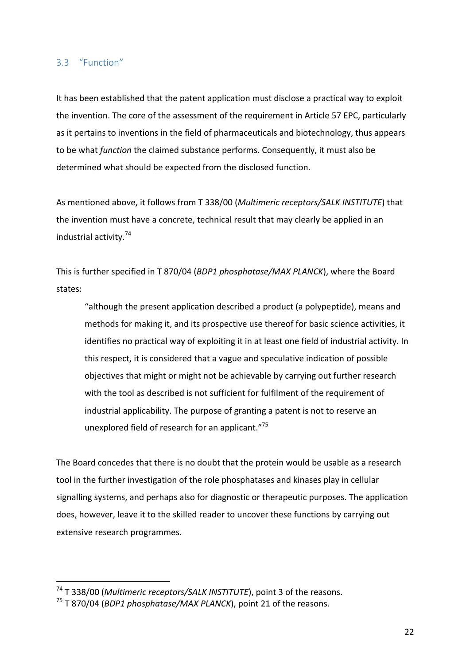#### 3.3 "Function"

It has been established that the patent application must disclose a practical way to exploit the invention. The core of the assessment of the requirement in Article 57 EPC, particularly as it pertains to inventions in the field of pharmaceuticals and biotechnology, thus appears to be what *function* the claimed substance performs. Consequently, it must also be determined what should be expected from the disclosed function.

As mentioned above, it follows from T 338/00 (*Multimeric receptors/SALK INSTITUTE*) that the invention must have a concrete, technical result that may clearly be applied in an industrial activity. $74$ 

This is further specified in T 870/04 (*BDP1 phosphatase/MAX PLANCK*), where the Board states:

"although the present application described a product (a polypeptide), means and methods for making it, and its prospective use thereof for basic science activities, it identifies no practical way of exploiting it in at least one field of industrial activity. In this respect, it is considered that a vague and speculative indication of possible objectives that might or might not be achievable by carrying out further research with the tool as described is not sufficient for fulfilment of the requirement of industrial applicability. The purpose of granting a patent is not to reserve an unexplored field of research for an applicant."75

The Board concedes that there is no doubt that the protein would be usable as a research tool in the further investigation of the role phosphatases and kinases play in cellular signalling systems, and perhaps also for diagnostic or therapeutic purposes. The application does, however, leave it to the skilled reader to uncover these functions by carrying out extensive research programmes.

<sup>&</sup>lt;sup>74</sup> T 338/00 (*Multimeric receptors/SALK INSTITUTE*), point 3 of the reasons.

<sup>&</sup>lt;sup>75</sup> T 870/04 (*BDP1 phosphatase/MAX PLANCK*), point 21 of the reasons.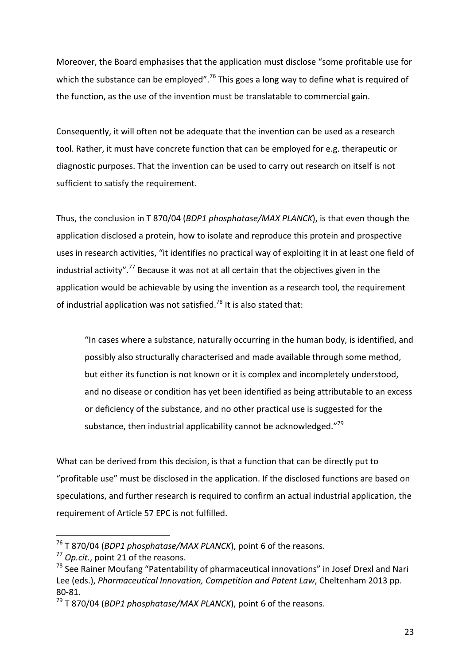Moreover, the Board emphasises that the application must disclose "some profitable use for which the substance can be employed".<sup>76</sup> This goes a long way to define what is required of the function, as the use of the invention must be translatable to commercial gain.

Consequently, it will often not be adequate that the invention can be used as a research tool. Rather, it must have concrete function that can be employed for e.g. therapeutic or diagnostic purposes. That the invention can be used to carry out research on itself is not sufficient to satisfy the requirement.

Thus, the conclusion in T 870/04 (*BDP1 phosphatase/MAX PLANCK*), is that even though the application disclosed a protein, how to isolate and reproduce this protein and prospective uses in research activities, "it identifies no practical way of exploiting it in at least one field of industrial activity".<sup>77</sup> Because it was not at all certain that the objectives given in the application would be achievable by using the invention as a research tool, the requirement of industrial application was not satisfied.<sup>78</sup> It is also stated that:

"In cases where a substance, naturally occurring in the human body, is identified, and possibly also structurally characterised and made available through some method, but either its function is not known or it is complex and incompletely understood, and no disease or condition has yet been identified as being attributable to an excess or deficiency of the substance, and no other practical use is suggested for the substance, then industrial applicability cannot be acknowledged."<sup>79</sup>

What can be derived from this decision, is that a function that can be directly put to "profitable use" must be disclosed in the application. If the disclosed functions are based on speculations, and further research is required to confirm an actual industrial application, the requirement of Article 57 EPC is not fulfilled.

<sup>&</sup>lt;sup>76</sup> T 870/04 (*BDP1 phosphatase/MAX PLANCK*), point 6 of the reasons.

<sup>&</sup>lt;sup>77</sup> *Op.cit.*, point 21 of the reasons.

 $78$  See Rainer Moufang "Patentability of pharmaceutical innovations" in Josef Drexl and Nari Lee (eds.), *Pharmaceutical Innovation, Competition and Patent Law*, Cheltenham 2013 pp. 80-81.

<sup>&</sup>lt;sup>79</sup> T 870/04 (*BDP1 phosphatase/MAX PLANCK*), point 6 of the reasons.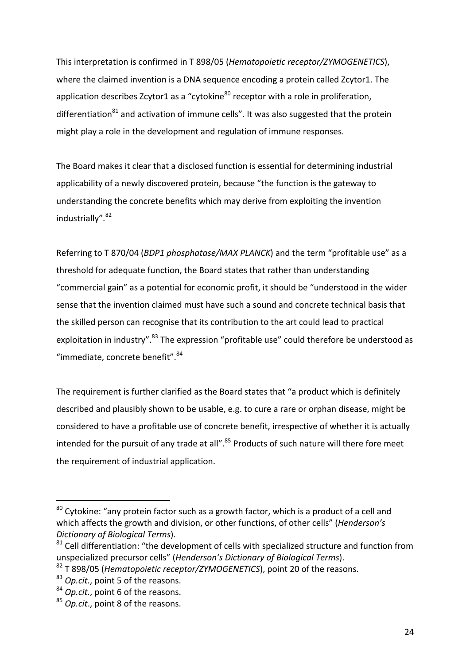This interpretation is confirmed in T 898/05 (*Hematopoietic receptor/ZYMOGENETICS*), where the claimed invention is a DNA sequence encoding a protein called Zcytor1. The application describes Zcytor1 as a "cytokine $^{80}$  receptor with a role in proliferation, differentiation $^{81}$  and activation of immune cells". It was also suggested that the protein might play a role in the development and regulation of immune responses.

The Board makes it clear that a disclosed function is essential for determining industrial applicability of a newly discovered protein, because "the function is the gateway to understanding the concrete benefits which may derive from exploiting the invention industrially".<sup>82</sup>

Referring to T 870/04 (*BDP1 phosphatase/MAX PLANCK*) and the term "profitable use" as a threshold for adequate function, the Board states that rather than understanding "commercial gain" as a potential for economic profit, it should be "understood in the wider sense that the invention claimed must have such a sound and concrete technical basis that the skilled person can recognise that its contribution to the art could lead to practical exploitation in industry".<sup>83</sup> The expression "profitable use" could therefore be understood as "immediate, concrete benefit". <sup>84</sup>

The requirement is further clarified as the Board states that "a product which is definitely described and plausibly shown to be usable, e.g. to cure a rare or orphan disease, might be considered to have a profitable use of concrete benefit, irrespective of whether it is actually intended for the pursuit of any trade at all".<sup>85</sup> Products of such nature will there fore meet the requirement of industrial application.

 $80$  Cytokine: "any protein factor such as a growth factor, which is a product of a cell and which affects the growth and division, or other functions, of other cells" (*Henderson's Dictionary of Biological Terms*). 

 $81$  Cell differentiation: "the development of cells with specialized structure and function from unspecialized precursor cells" (*Henderson's Dictionary of Biological Terms*).

<sup>&</sup>lt;sup>82</sup> T 898/05 (*Hematopoietic receptor/ZYMOGENETICS*), point 20 of the reasons.

<sup>&</sup>lt;sup>83</sup> *Op.cit.*, point 5 of the reasons.

<sup>84</sup> *Op.cit.*, point 6 of the reasons.

<sup>&</sup>lt;sup>85</sup> *Op.cit.*, point 8 of the reasons.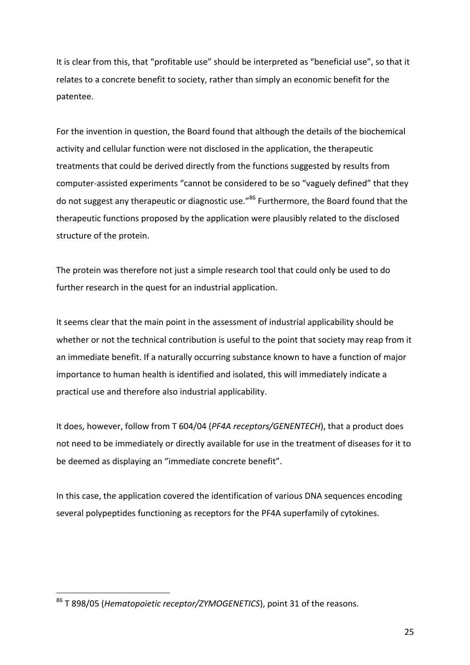It is clear from this, that "profitable use" should be interpreted as "beneficial use", so that it relates to a concrete benefit to society, rather than simply an economic benefit for the patentee. 

For the invention in question, the Board found that although the details of the biochemical activity and cellular function were not disclosed in the application, the therapeutic treatments that could be derived directly from the functions suggested by results from computer-assisted experiments "cannot be considered to be so "vaguely defined" that they do not suggest any therapeutic or diagnostic use."<sup>86</sup> Furthermore, the Board found that the therapeutic functions proposed by the application were plausibly related to the disclosed structure of the protein.

The protein was therefore not just a simple research tool that could only be used to do further research in the quest for an industrial application.

It seems clear that the main point in the assessment of industrial applicability should be whether or not the technical contribution is useful to the point that society may reap from it an immediate benefit. If a naturally occurring substance known to have a function of major importance to human health is identified and isolated, this will immediately indicate a practical use and therefore also industrial applicability.

It does, however, follow from T 604/04 (*PF4A receptors/GENENTECH*), that a product does not need to be immediately or directly available for use in the treatment of diseases for it to be deemed as displaying an "immediate concrete benefit".

In this case, the application covered the identification of various DNA sequences encoding several polypeptides functioning as receptors for the PF4A superfamily of cytokines.

<sup>&</sup>lt;sup>86</sup> T 898/05 (*Hematopoietic receptor/ZYMOGENETICS*), point 31 of the reasons.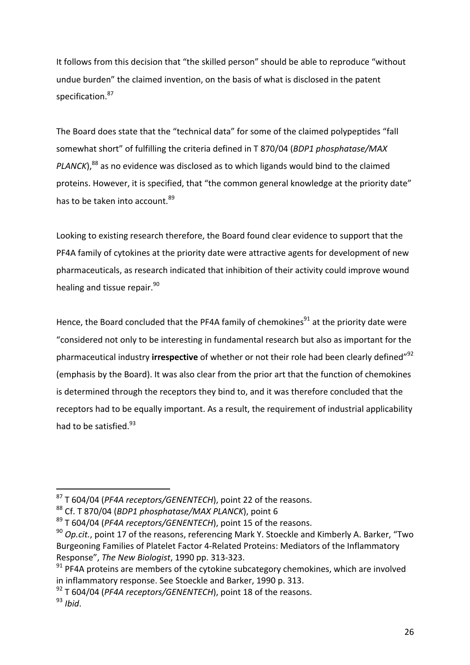It follows from this decision that "the skilled person" should be able to reproduce "without undue burden" the claimed invention, on the basis of what is disclosed in the patent specification.<sup>87</sup>

The Board does state that the "technical data" for some of the claimed polypeptides "fall somewhat short" of fulfilling the criteria defined in T 870/04 (*BDP1 phosphatase/MAX PLANCK*),<sup>88</sup> as no evidence was disclosed as to which ligands would bind to the claimed proteins. However, it is specified, that "the common general knowledge at the priority date" has to be taken into account.<sup>89</sup>

Looking to existing research therefore, the Board found clear evidence to support that the PF4A family of cytokines at the priority date were attractive agents for development of new pharmaceuticals, as research indicated that inhibition of their activity could improve wound healing and tissue repair.<sup>90</sup>

Hence, the Board concluded that the PF4A family of chemokines $91$  at the priority date were "considered not only to be interesting in fundamental research but also as important for the pharmaceutical industry **irrespective** of whether or not their role had been clearly defined"<sup>92</sup> (emphasis by the Board). It was also clear from the prior art that the function of chemokines is determined through the receptors they bind to, and it was therefore concluded that the receptors had to be equally important. As a result, the requirement of industrial applicability had to be satisfied.<sup>93</sup>

<sup>&</sup>lt;sup>87</sup> T 604/04 (*PF4A receptors/GENENTECH*), point 22 of the reasons.

<sup>&</sup>lt;sup>88</sup> Cf. T 870/04 (*BDP1 phosphatase/MAX PLANCK*), point 6

<sup>&</sup>lt;sup>89</sup> T 604/04 (*PF4A receptors/GENENTECH*), point 15 of the reasons.

<sup>&</sup>lt;sup>90</sup> Op.cit., point 17 of the reasons, referencing Mark Y. Stoeckle and Kimberly A. Barker, "Two Burgeoning Families of Platelet Factor 4-Related Proteins: Mediators of the Inflammatory Response", *The New Biologist*, 1990 pp. 313-323.

 $91$  PF4A proteins are members of the cytokine subcategory chemokines, which are involved in inflammatory response. See Stoeckle and Barker, 1990 p. 313.

<sup>&</sup>lt;sup>92</sup> T 604/04 (PF4A receptors/GENENTECH), point 18 of the reasons.

<sup>93</sup> *Ibid*.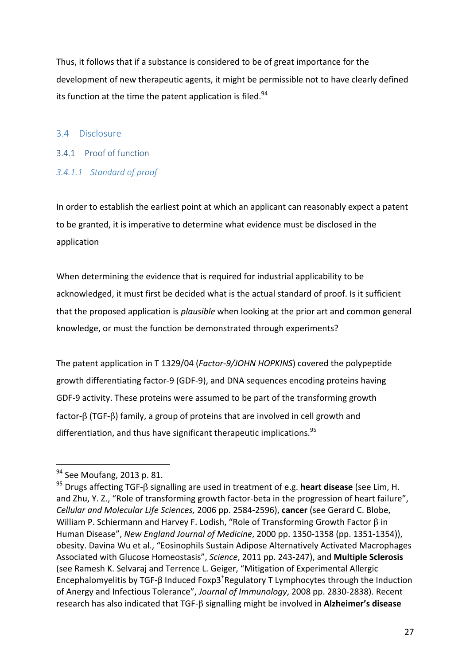Thus, it follows that if a substance is considered to be of great importance for the development of new therapeutic agents, it might be permissible not to have clearly defined its function at the time the patent application is filed.<sup>94</sup>

### 3.4 Disclosure

- 3.4.1 Proof of function
- *3.4.1.1 Standard of proof*

In order to establish the earliest point at which an applicant can reasonably expect a patent to be granted, it is imperative to determine what evidence must be disclosed in the application

When determining the evidence that is required for industrial applicability to be acknowledged, it must first be decided what is the actual standard of proof. Is it sufficient that the proposed application is *plausible* when looking at the prior art and common general knowledge, or must the function be demonstrated through experiments?

The patent application in T 1329/04 (*Factor-9/JOHN HOPKINS*) covered the polypeptide growth differentiating factor-9 (GDF-9), and DNA sequences encoding proteins having GDF-9 activity. These proteins were assumed to be part of the transforming growth factor-β (TGF-β) family, a group of proteins that are involved in cell growth and differentiation, and thus have significant therapeutic implications.<sup>95</sup>

 <sup>94</sup> See Moufang, 2013 p. 81.

<sup>&</sup>lt;sup>95</sup> Drugs affecting TGF-β signalling are used in treatment of e.g. **heart disease** (see Lim, H. and Zhu, Y. Z., "Role of transforming growth factor-beta in the progression of heart failure", *Cellular and Molecular Life Sciences,* 2006 pp. 2584-2596), **cancer** (see Gerard C. Blobe, William P. Schiermann and Harvey F. Lodish, "Role of Transforming Growth Factor  $\beta$  in Human Disease", *New England Journal of Medicine*, 2000 pp. 1350-1358 (pp. 1351-1354)), obesity. Davina Wu et al., "Eosinophils Sustain Adipose Alternatively Activated Macrophages Associated with Glucose Homeostasis", Science, 2011 pp. 243-247), and Multiple Sclerosis (see Ramesh K. Selvaraj and Terrence L. Geiger, "Mitigation of Experimental Allergic Encephalomyelitis by TGF- $\beta$  Induced Foxp3<sup>+</sup>Regulatory T Lymphocytes through the Induction of Anergy and Infectious Tolerance", *Journal of Immunology*, 2008 pp. 2830-2838). Recent research has also indicated that TGF-β signalling might be involved in **Alzheimer's disease**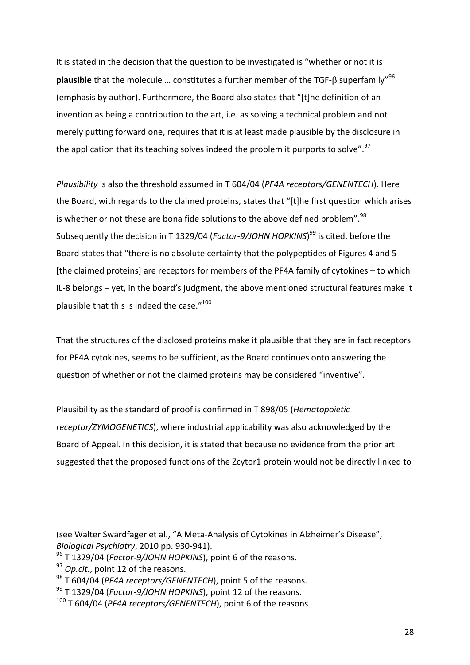It is stated in the decision that the question to be investigated is "whether or not it is **plausible** that the molecule ... constitutes a further member of the TGF-ß superfamily"<sup>96</sup> (emphasis by author). Furthermore, the Board also states that "[t]he definition of an invention as being a contribution to the art, i.e. as solving a technical problem and not merely putting forward one, requires that it is at least made plausible by the disclosure in the application that its teaching solves indeed the problem it purports to solve".<sup>97</sup>

*Plausibility* is also the threshold assumed in T 604/04 (*PF4A receptors/GENENTECH*). Here the Board, with regards to the claimed proteins, states that "[t]he first question which arises is whether or not these are bona fide solutions to the above defined problem".<sup>98</sup> Subsequently the decision in T 1329/04 (*Factor-9/JOHN HOPKINS*)<sup>99</sup> is cited, before the Board states that "there is no absolute certainty that the polypeptides of Figures 4 and 5 [the claimed proteins] are receptors for members of the PF4A family of cytokines – to which IL-8 belongs  $-$  yet, in the board's judgment, the above mentioned structural features make it plausible that this is indeed the case."<sup>100</sup>

That the structures of the disclosed proteins make it plausible that they are in fact receptors for PF4A cytokines, seems to be sufficient, as the Board continues onto answering the question of whether or not the claimed proteins may be considered "inventive".

Plausibility as the standard of proof is confirmed in T 898/05 (*Hematopoietic* receptor/ZYMOGENETICS), where industrial applicability was also acknowledged by the Board of Appeal. In this decision, it is stated that because no evidence from the prior art suggested that the proposed functions of the Zcytor1 protein would not be directly linked to

<sup>(</sup>see Walter Swardfager et al., "A Meta-Analysis of Cytokines in Alzheimer's Disease", *Biological Psychiatry*, 2010 pp. 930-941).

<sup>&</sup>lt;sup>96</sup> T 1329/04 (*Factor-9/JOHN HOPKINS*), point 6 of the reasons.

<sup>&</sup>lt;sup>97</sup> *Op.cit.*, point 12 of the reasons.

<sup>&</sup>lt;sup>98</sup> T 604/04 (*PF4A receptors/GENENTECH*), point 5 of the reasons.

<sup>&</sup>lt;sup>99</sup> T 1329/04 (*Factor-9/JOHN HOPKINS*), point 12 of the reasons.

<sup>&</sup>lt;sup>100</sup> T 604/04 (*PF4A receptors/GENENTECH*), point 6 of the reasons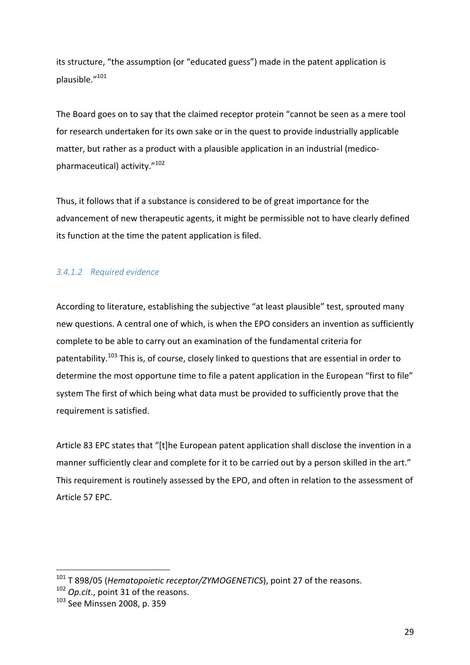its structure, "the assumption (or "educated guess") made in the patent application is plausible."101

The Board goes on to say that the claimed receptor protein "cannot be seen as a mere tool for research undertaken for its own sake or in the quest to provide industrially applicable matter, but rather as a product with a plausible application in an industrial (medicopharmaceutical) activity."<sup>102</sup>

Thus, it follows that if a substance is considered to be of great importance for the advancement of new therapeutic agents, it might be permissible not to have clearly defined its function at the time the patent application is filed.

## *3.4.1.2 Required evidence*

According to literature, establishing the subjective "at least plausible" test, sprouted many new questions. A central one of which, is when the EPO considers an invention as sufficiently complete to be able to carry out an examination of the fundamental criteria for patentability.<sup>103</sup> This is, of course, closely linked to questions that are essential in order to determine the most opportune time to file a patent application in the European "first to file" system The first of which being what data must be provided to sufficiently prove that the requirement is satisfied.

Article 83 EPC states that "[t]he European patent application shall disclose the invention in a manner sufficiently clear and complete for it to be carried out by a person skilled in the art." This requirement is routinely assessed by the EPO, and often in relation to the assessment of Article 57 EPC.

<sup>&</sup>lt;sup>101</sup> T 898/05 (*Hematopoietic receptor/ZYMOGENETICS*), point 27 of the reasons.

<sup>&</sup>lt;sup>102</sup> *Op.cit.*, point 31 of the reasons.

<sup>103</sup> See Minssen 2008, p. 359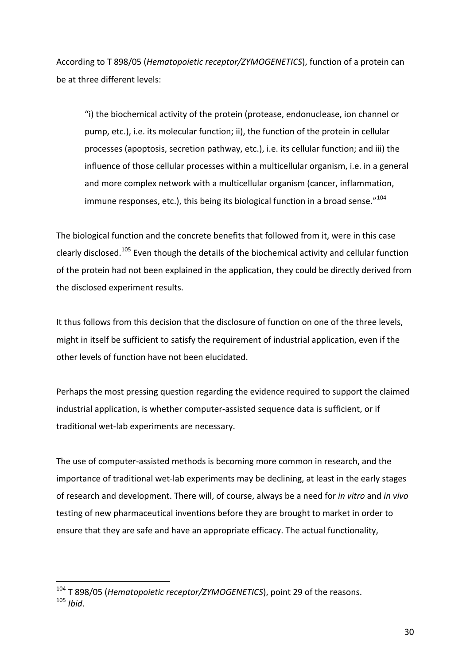According to T 898/05 (*Hematopoietic receptor/ZYMOGENETICS*), function of a protein can be at three different levels:

"i) the biochemical activity of the protein (protease, endonuclease, ion channel or pump, etc.), i.e. its molecular function; ii), the function of the protein in cellular processes (apoptosis, secretion pathway, etc.), i.e. its cellular function; and iii) the influence of those cellular processes within a multicellular organism, i.e. in a general and more complex network with a multicellular organism (cancer, inflammation, immune responses, etc.), this being its biological function in a broad sense." $104$ 

The biological function and the concrete benefits that followed from it, were in this case clearly disclosed.<sup>105</sup> Even though the details of the biochemical activity and cellular function of the protein had not been explained in the application, they could be directly derived from the disclosed experiment results.

It thus follows from this decision that the disclosure of function on one of the three levels, might in itself be sufficient to satisfy the requirement of industrial application, even if the other levels of function have not been elucidated.

Perhaps the most pressing question regarding the evidence required to support the claimed industrial application, is whether computer-assisted sequence data is sufficient, or if traditional wet-lab experiments are necessary.

The use of computer-assisted methods is becoming more common in research, and the importance of traditional wet-lab experiments may be declining, at least in the early stages of research and development. There will, of course, always be a need for *in vitro* and *in vivo* testing of new pharmaceutical inventions before they are brought to market in order to ensure that they are safe and have an appropriate efficacy. The actual functionality,

<sup>&</sup>lt;sup>104</sup> T 898/05 (*Hematopoietic receptor/ZYMOGENETICS*), point 29 of the reasons. <sup>105</sup> *Ibid*.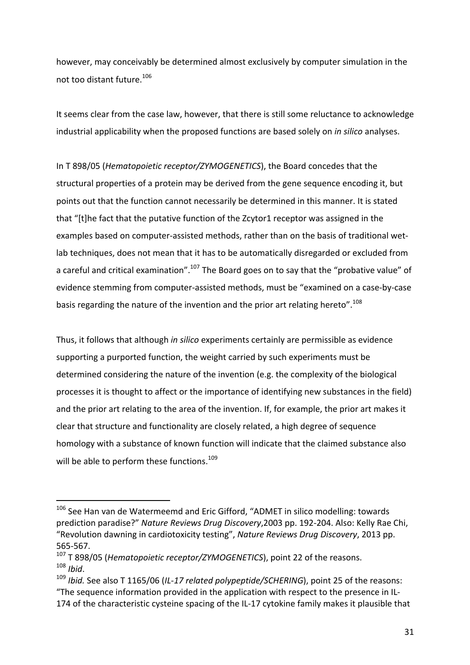however, may conceivably be determined almost exclusively by computer simulation in the not too distant future.<sup>106</sup>

It seems clear from the case law, however, that there is still some reluctance to acknowledge industrial applicability when the proposed functions are based solely on *in silico* analyses.

In T 898/05 (*Hematopoietic receptor/ZYMOGENETICS*), the Board concedes that the structural properties of a protein may be derived from the gene sequence encoding it, but points out that the function cannot necessarily be determined in this manner. It is stated that "[t]he fact that the putative function of the Zcytor1 receptor was assigned in the examples based on computer-assisted methods, rather than on the basis of traditional wetlab techniques, does not mean that it has to be automatically disregarded or excluded from a careful and critical examination".<sup>107</sup> The Board goes on to say that the "probative value" of evidence stemming from computer-assisted methods, must be "examined on a case-by-case basis regarding the nature of the invention and the prior art relating hereto".<sup>108</sup>

Thus, it follows that although *in silico* experiments certainly are permissible as evidence supporting a purported function, the weight carried by such experiments must be determined considering the nature of the invention (e.g. the complexity of the biological processes it is thought to affect or the importance of identifying new substances in the field) and the prior art relating to the area of the invention. If, for example, the prior art makes it clear that structure and functionality are closely related, a high degree of sequence homology with a substance of known function will indicate that the claimed substance also will be able to perform these functions.<sup>109</sup>

 $106$  See Han van de Watermeemd and Eric Gifford, "ADMET in silico modelling: towards prediction paradise?" Nature Reviews Drug Discovery, 2003 pp. 192-204. Also: Kelly Rae Chi, "Revolution dawning in cardiotoxicity testing", Nature Reviews Drug Discovery, 2013 pp. 565-567.

<sup>&</sup>lt;sup>107</sup> T 898/05 (*Hematopoietic receptor/ZYMOGENETICS*), point 22 of the reasons. <sup>108</sup> *Ibid*.

<sup>&</sup>lt;sup>109</sup> *Ibid.* See also T 1165/06 (IL-17 related polypeptide/SCHERING), point 25 of the reasons: "The sequence information provided in the application with respect to the presence in IL-174 of the characteristic cysteine spacing of the IL-17 cytokine family makes it plausible that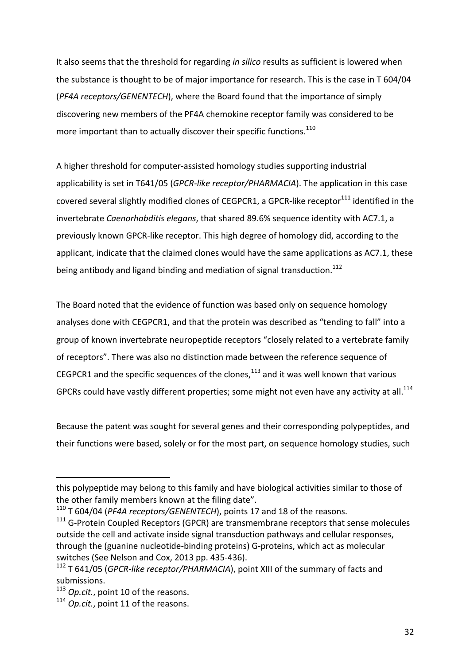It also seems that the threshold for regarding *in silico* results as sufficient is lowered when the substance is thought to be of major importance for research. This is the case in T 604/04 (*PF4A receptors/GENENTECH*), where the Board found that the importance of simply discovering new members of the PF4A chemokine receptor family was considered to be more important than to actually discover their specific functions. $110$ 

A higher threshold for computer-assisted homology studies supporting industrial applicability is set in T641/05 (*GPCR-like receptor/PHARMACIA*). The application in this case covered several slightly modified clones of CEGPCR1, a GPCR-like receptor $^{111}$  identified in the invertebrate *Caenorhabditis elegans*, that shared 89.6% sequence identity with AC7.1, a previously known GPCR-like receptor. This high degree of homology did, according to the applicant, indicate that the claimed clones would have the same applications as AC7.1, these being antibody and ligand binding and mediation of signal transduction. $^{112}$ 

The Board noted that the evidence of function was based only on sequence homology analyses done with CEGPCR1, and that the protein was described as "tending to fall" into a group of known invertebrate neuropeptide receptors "closely related to a vertebrate family of receptors". There was also no distinction made between the reference sequence of CEGPCR1 and the specific sequences of the clones,  $^{113}$  and it was well known that various GPCRs could have vastly different properties; some might not even have any activity at all.<sup>114</sup>

Because the patent was sought for several genes and their corresponding polypeptides, and their functions were based, solely or for the most part, on sequence homology studies, such

<sup>110</sup> T 604/04 (*PF4A receptors/GENENTECH*), points 17 and 18 of the reasons.

this polypeptide may belong to this family and have biological activities similar to those of the other family members known at the filing date".

 $111$  G-Protein Coupled Receptors (GPCR) are transmembrane receptors that sense molecules outside the cell and activate inside signal transduction pathways and cellular responses, through the (guanine nucleotide-binding proteins) G-proteins, which act as molecular switches (See Nelson and Cox, 2013 pp. 435-436).

<sup>&</sup>lt;sup>112</sup> T 641/05 (*GPCR-like receptor/PHARMACIA*), point XIII of the summary of facts and submissions. 

<sup>&</sup>lt;sup>113</sup> *Op.cit.*, point 10 of the reasons.

<sup>&</sup>lt;sup>114</sup> *Op.cit.*, point 11 of the reasons.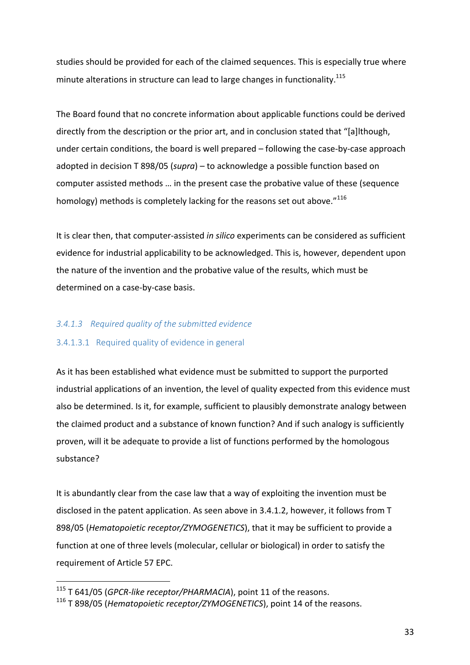studies should be provided for each of the claimed sequences. This is especially true where minute alterations in structure can lead to large changes in functionality.<sup>115</sup>

The Board found that no concrete information about applicable functions could be derived directly from the description or the prior art, and in conclusion stated that "[a]lthough, under certain conditions, the board is well prepared  $-$  following the case-by-case approach adopted in decision T 898/05 (*supra*) – to acknowledge a possible function based on computer assisted methods ... in the present case the probative value of these (sequence homology) methods is completely lacking for the reasons set out above. $n^{116}$ 

It is clear then, that computer-assisted *in silico* experiments can be considered as sufficient evidence for industrial applicability to be acknowledged. This is, however, dependent upon the nature of the invention and the probative value of the results, which must be determined on a case-by-case basis.

#### *3.4.1.3 Required quality of the submitted evidence*

#### 3.4.1.3.1 Required quality of evidence in general

As it has been established what evidence must be submitted to support the purported industrial applications of an invention, the level of quality expected from this evidence must also be determined. Is it, for example, sufficient to plausibly demonstrate analogy between the claimed product and a substance of known function? And if such analogy is sufficiently proven, will it be adequate to provide a list of functions performed by the homologous substance?

It is abundantly clear from the case law that a way of exploiting the invention must be disclosed in the patent application. As seen above in 3.4.1.2, however, it follows from T 898/05 (*Hematopoietic receptor/ZYMOGENETICS*), that it may be sufficient to provide a function at one of three levels (molecular, cellular or biological) in order to satisfy the requirement of Article 57 EPC.

<sup>&</sup>lt;sup>115</sup> T 641/05 (*GPCR-like receptor/PHARMACIA*), point 11 of the reasons.

<sup>&</sup>lt;sup>116</sup> T 898/05 (*Hematopoietic receptor/ZYMOGENETICS*), point 14 of the reasons.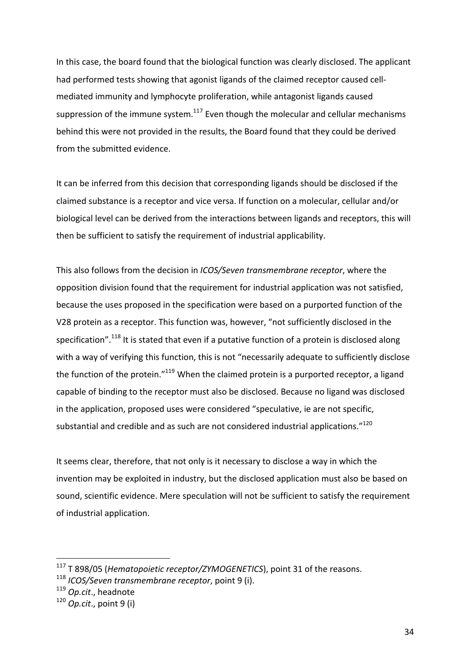In this case, the board found that the biological function was clearly disclosed. The applicant had performed tests showing that agonist ligands of the claimed receptor caused cellmediated immunity and lymphocyte proliferation, while antagonist ligands caused suppression of the immune system.<sup>117</sup> Even though the molecular and cellular mechanisms behind this were not provided in the results, the Board found that they could be derived from the submitted evidence.

It can be inferred from this decision that corresponding ligands should be disclosed if the claimed substance is a receptor and vice versa. If function on a molecular, cellular and/or biological level can be derived from the interactions between ligands and receptors, this will then be sufficient to satisfy the requirement of industrial applicability.

This also follows from the decision in *ICOS/Seven transmembrane receptor*, where the opposition division found that the requirement for industrial application was not satisfied, because the uses proposed in the specification were based on a purported function of the V28 protein as a receptor. This function was, however, "not sufficiently disclosed in the specification".<sup>118</sup> It is stated that even if a putative function of a protein is disclosed along with a way of verifying this function, this is not "necessarily adequate to sufficiently disclose the function of the protein." $119$  When the claimed protein is a purported receptor, a ligand capable of binding to the receptor must also be disclosed. Because no ligand was disclosed in the application, proposed uses were considered "speculative, ie are not specific, substantial and credible and as such are not considered industrial applications."<sup>120</sup>

It seems clear, therefore, that not only is it necessary to disclose a way in which the invention may be exploited in industry, but the disclosed application must also be based on sound, scientific evidence. Mere speculation will not be sufficient to satisfy the requirement of industrial application.

<sup>&</sup>lt;sup>117</sup> T 898/05 (*Hematopoietic receptor/ZYMOGENETICS*), point 31 of the reasons.

<sup>&</sup>lt;sup>118</sup> *ICOS/Seven transmembrane receptor*, point 9 (i).

<sup>&</sup>lt;sup>119</sup> Op.cit., headnote

<sup>&</sup>lt;sup>120</sup> *Op.cit.*, point 9 (i)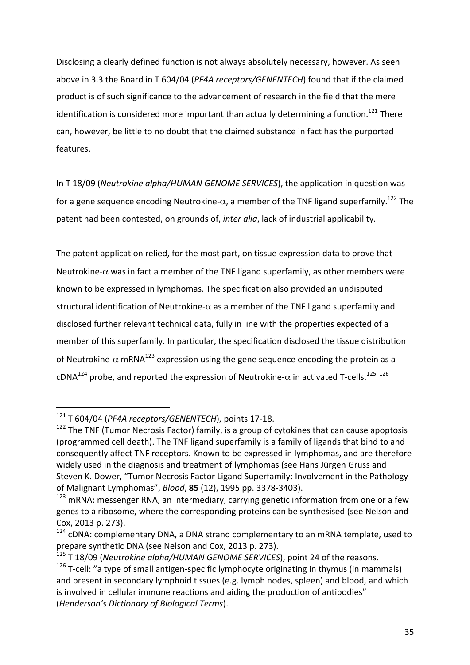Disclosing a clearly defined function is not always absolutely necessary, however. As seen above in 3.3 the Board in T 604/04 (PF4A receptors/GENENTECH) found that if the claimed product is of such significance to the advancement of research in the field that the mere identification is considered more important than actually determining a function.<sup>121</sup> There can, however, be little to no doubt that the claimed substance in fact has the purported features.

In T 18/09 (*Neutrokine alpha/HUMAN GENOME SERVICES*), the application in question was for a gene sequence encoding Neutrokine- $\alpha$ , a member of the TNF ligand superfamily.<sup>122</sup> The patent had been contested, on grounds of, *inter alia*, lack of industrial applicability.

The patent application relied, for the most part, on tissue expression data to prove that Neutrokine- $\alpha$  was in fact a member of the TNF ligand superfamily, as other members were known to be expressed in lymphomas. The specification also provided an undisputed structural identification of Neutrokine- $\alpha$  as a member of the TNF ligand superfamily and disclosed further relevant technical data, fully in line with the properties expected of a member of this superfamily. In particular, the specification disclosed the tissue distribution of Neutrokine- $\alpha$  mRNA<sup>123</sup> expression using the gene sequence encoding the protein as a cDNA<sup>124</sup> probe, and reported the expression of Neutrokine- $\alpha$  in activated T-cells.<sup>125, 126</sup>

 $121$  T 604/04 (*PF4A receptors/GENENTECH*), points 17-18.

 $122$  The TNF (Tumor Necrosis Factor) family, is a group of cytokines that can cause apoptosis (programmed cell death). The TNF ligand superfamily is a family of ligands that bind to and consequently affect TNF receptors. Known to be expressed in lymphomas, and are therefore widely used in the diagnosis and treatment of lymphomas (see Hans Jürgen Gruss and Steven K. Dower, "Tumor Necrosis Factor Ligand Superfamily: Involvement in the Pathology of Malignant Lymphomas", *Blood*, **85** (12), 1995 pp. 3378-3403).

 $123$  mRNA: messenger RNA, an intermediary, carrying genetic information from one or a few genes to a ribosome, where the corresponding proteins can be synthesised (see Nelson and Cox, 2013 p. 273).

 $124$  cDNA: complementary DNA, a DNA strand complementary to an mRNA template, used to prepare synthetic DNA (see Nelson and Cox, 2013 p. 273).

<sup>&</sup>lt;sup>125</sup> T 18/09 (*Neutrokine alpha/HUMAN GENOME SERVICES*), point 24 of the reasons.

 $126$  T-cell: "a type of small antigen-specific lymphocyte originating in thymus (in mammals) and present in secondary lymphoid tissues (e.g. lymph nodes, spleen) and blood, and which is involved in cellular immune reactions and aiding the production of antibodies" (*Henderson's Dictionary of Biological Terms*).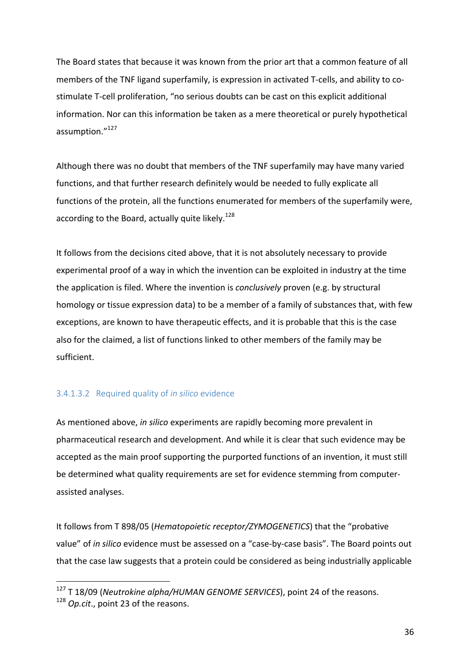The Board states that because it was known from the prior art that a common feature of all members of the TNF ligand superfamily, is expression in activated T-cells, and ability to costimulate T-cell proliferation, "no serious doubts can be cast on this explicit additional information. Nor can this information be taken as a mere theoretical or purely hypothetical assumption."<sup>127</sup>

Although there was no doubt that members of the TNF superfamily may have many varied functions, and that further research definitely would be needed to fully explicate all functions of the protein, all the functions enumerated for members of the superfamily were, according to the Board, actually quite likely.<sup>128</sup>

It follows from the decisions cited above, that it is not absolutely necessary to provide experimental proof of a way in which the invention can be exploited in industry at the time the application is filed. Where the invention is *conclusively* proven (e.g. by structural homology or tissue expression data) to be a member of a family of substances that, with few exceptions, are known to have therapeutic effects, and it is probable that this is the case also for the claimed, a list of functions linked to other members of the family may be sufficient. 

#### 3.4.1.3.2 Required quality of *in silico* evidence

As mentioned above, *in silico* experiments are rapidly becoming more prevalent in pharmaceutical research and development. And while it is clear that such evidence may be accepted as the main proof supporting the purported functions of an invention, it must still be determined what quality requirements are set for evidence stemming from computerassisted analyses.

It follows from T 898/05 (*Hematopoietic receptor/ZYMOGENETICS*) that the "probative value" of *in silico* evidence must be assessed on a "case-by-case basis". The Board points out that the case law suggests that a protein could be considered as being industrially applicable

<sup>&</sup>lt;sup>127</sup> T 18/09 (Neutrokine alpha/HUMAN GENOME SERVICES), point 24 of the reasons.

<sup>&</sup>lt;sup>128</sup> *Op.cit.*, point 23 of the reasons.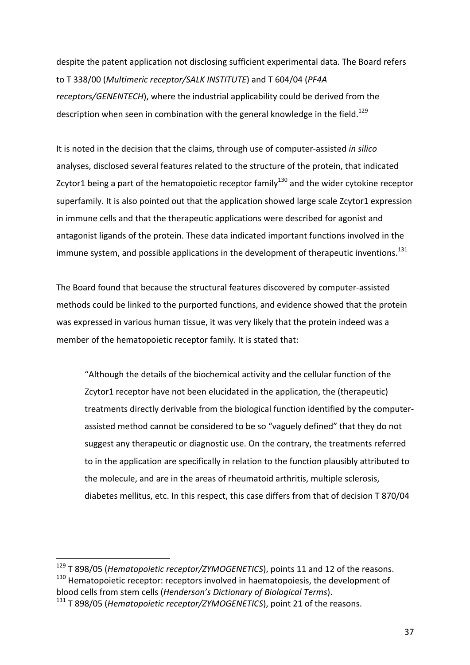despite the patent application not disclosing sufficient experimental data. The Board refers to T 338/00 (*Multimeric receptor/SALK INSTITUTE*) and T 604/04 (PF4A *receptors/GENENTECH*), where the industrial applicability could be derived from the description when seen in combination with the general knowledge in the field.<sup>129</sup>

It is noted in the decision that the claims, through use of computer-assisted *in silico* analyses, disclosed several features related to the structure of the protein, that indicated Zcytor1 being a part of the hematopoietic receptor family<sup>130</sup> and the wider cytokine receptor superfamily. It is also pointed out that the application showed large scale Zcytor1 expression in immune cells and that the therapeutic applications were described for agonist and antagonist ligands of the protein. These data indicated important functions involved in the immune system, and possible applications in the development of therapeutic inventions.<sup>131</sup>

The Board found that because the structural features discovered by computer-assisted methods could be linked to the purported functions, and evidence showed that the protein was expressed in various human tissue, it was very likely that the protein indeed was a member of the hematopoietic receptor family. It is stated that:

"Although the details of the biochemical activity and the cellular function of the Zcytor1 receptor have not been elucidated in the application, the (therapeutic) treatments directly derivable from the biological function identified by the computerassisted method cannot be considered to be so "vaguely defined" that they do not suggest any therapeutic or diagnostic use. On the contrary, the treatments referred to in the application are specifically in relation to the function plausibly attributed to the molecule, and are in the areas of rheumatoid arthritis, multiple sclerosis, diabetes mellitus, etc. In this respect, this case differs from that of decision T 870/04

<sup>&</sup>lt;sup>129</sup> T 898/05 (*Hematopoietic receptor/ZYMOGENETICS*), points 11 and 12 of the reasons.  $130$  Hematopoietic receptor: receptors involved in haematopoiesis, the development of blood cells from stem cells (*Henderson's Dictionary of Biological Terms*).

<sup>&</sup>lt;sup>131</sup> T 898/05 (*Hematopoietic receptor/ZYMOGENETICS*), point 21 of the reasons.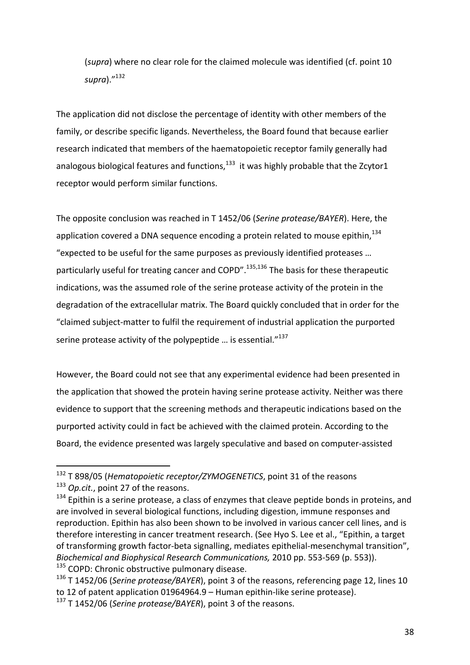(*supra*) where no clear role for the claimed molecule was identified (cf. point 10 *supra*)."132

The application did not disclose the percentage of identity with other members of the family, or describe specific ligands. Nevertheless, the Board found that because earlier research indicated that members of the haematopoietic receptor family generally had analogous biological features and functions, $^{133}$  it was highly probable that the Zcytor1 receptor would perform similar functions.

The opposite conclusion was reached in T 1452/06 (Serine protease/BAYER). Here, the application covered a DNA sequence encoding a protein related to mouse epithin, $134$ "expected to be useful for the same purposes as previously identified proteases ... particularly useful for treating cancer and COPD".<sup>135,136</sup> The basis for these therapeutic indications, was the assumed role of the serine protease activity of the protein in the degradation of the extracellular matrix. The Board quickly concluded that in order for the "claimed subject-matter to fulfil the requirement of industrial application the purported serine protease activity of the polypeptide ... is essential."<sup>137</sup>

However, the Board could not see that any experimental evidence had been presented in the application that showed the protein having serine protease activity. Neither was there evidence to support that the screening methods and therapeutic indications based on the purported activity could in fact be achieved with the claimed protein. According to the Board, the evidence presented was largely speculative and based on computer-assisted

<sup>&</sup>lt;sup>132</sup> T 898/05 (*Hematopoietic receptor/ZYMOGENETICS*, point 31 of the reasons

<sup>&</sup>lt;sup>133</sup> *Op.cit.*, point 27 of the reasons.

 $134$  Epithin is a serine protease, a class of enzymes that cleave peptide bonds in proteins, and are involved in several biological functions, including digestion, immune responses and reproduction. Epithin has also been shown to be involved in various cancer cell lines, and is therefore interesting in cancer treatment research. (See Hyo S. Lee et al., "Epithin, a target of transforming growth factor-beta signalling, mediates epithelial-mesenchymal transition", *Biochemical and Biophysical Research Communications,* 2010 pp. 553-569 (p. 553)).  $135$  COPD: Chronic obstructive pulmonary disease.

<sup>&</sup>lt;sup>136</sup> T 1452/06 (*Serine protease/BAYER*), point 3 of the reasons, referencing page 12, lines 10 to 12 of patent application 01964964.9 – Human epithin-like serine protease). <sup>137</sup> T 1452/06 (Serine protease/BAYER), point 3 of the reasons.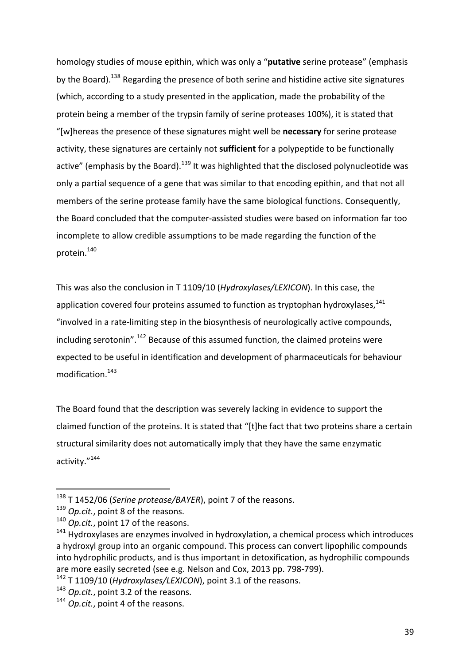homology studies of mouse epithin, which was only a "putative serine protease" (emphasis by the Board).<sup>138</sup> Regarding the presence of both serine and histidine active site signatures (which, according to a study presented in the application, made the probability of the protein being a member of the trypsin family of serine proteases 100%), it is stated that "[w]hereas the presence of these signatures might well be necessary for serine protease activity, these signatures are certainly not **sufficient** for a polypeptide to be functionally active" (emphasis by the Board).<sup>139</sup> It was highlighted that the disclosed polynucleotide was only a partial sequence of a gene that was similar to that encoding epithin, and that not all members of the serine protease family have the same biological functions. Consequently, the Board concluded that the computer-assisted studies were based on information far too incomplete to allow credible assumptions to be made regarding the function of the protein.<sup>140</sup>

This was also the conclusion in T 1109/10 (*Hydroxylases/LEXICON*). In this case, the application covered four proteins assumed to function as tryptophan hydroxylases, $141$ "involved in a rate-limiting step in the biosynthesis of neurologically active compounds, including serotonin".<sup>142</sup> Because of this assumed function, the claimed proteins were expected to be useful in identification and development of pharmaceuticals for behaviour modification.<sup>143</sup>

The Board found that the description was severely lacking in evidence to support the claimed function of the proteins. It is stated that "[t]he fact that two proteins share a certain structural similarity does not automatically imply that they have the same enzymatic activity."<sup>144</sup>

 

<sup>142</sup> T 1109/10 (*Hydroxylases/LEXICON*), point 3.1 of the reasons.

<sup>&</sup>lt;sup>138</sup> T 1452/06 (*Serine protease/BAYER*), point 7 of the reasons.

<sup>&</sup>lt;sup>139</sup> *Op.cit.*, point 8 of the reasons.

<sup>&</sup>lt;sup>140</sup> *Op.cit.*, point 17 of the reasons.

 $141$  Hydroxylases are enzymes involved in hydroxylation, a chemical process which introduces a hydroxyl group into an organic compound. This process can convert lipophilic compounds into hydrophilic products, and is thus important in detoxification, as hydrophilic compounds are more easily secreted (see e.g. Nelson and Cox, 2013 pp. 798-799).

<sup>&</sup>lt;sup>143</sup> *Op.cit.*, point 3.2 of the reasons.

<sup>&</sup>lt;sup>144</sup> *Op.cit.*, point 4 of the reasons.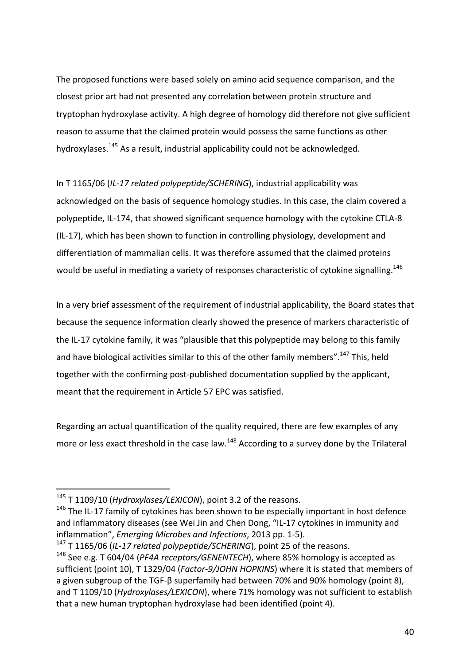The proposed functions were based solely on amino acid sequence comparison, and the closest prior art had not presented any correlation between protein structure and tryptophan hydroxylase activity. A high degree of homology did therefore not give sufficient reason to assume that the claimed protein would possess the same functions as other hydroxylases.<sup>145</sup> As a result, industrial applicability could not be acknowledged.

In T 1165/06 (IL-17 related polypeptide/SCHERING), industrial applicability was acknowledged on the basis of sequence homology studies. In this case, the claim covered a polypeptide, IL-174, that showed significant sequence homology with the cytokine CTLA-8 (IL-17), which has been shown to function in controlling physiology, development and differentiation of mammalian cells. It was therefore assumed that the claimed proteins would be useful in mediating a variety of responses characteristic of cytokine signalling.<sup>146</sup>

In a very brief assessment of the requirement of industrial applicability, the Board states that because the sequence information clearly showed the presence of markers characteristic of the IL-17 cytokine family, it was "plausible that this polypeptide may belong to this family and have biological activities similar to this of the other family members".<sup>147</sup> This, held together with the confirming post-published documentation supplied by the applicant, meant that the requirement in Article 57 EPC was satisfied.

Regarding an actual quantification of the quality required, there are few examples of any more or less exact threshold in the case law. $^{148}$  According to a survey done by the Trilateral

<sup>&</sup>lt;sup>145</sup> T 1109/10 (*Hydroxylases/LEXICON*), point 3.2 of the reasons.

 $146$  The IL-17 family of cytokines has been shown to be especially important in host defence and inflammatory diseases (see Wei Jin and Chen Dong, "IL-17 cytokines in immunity and inflammation", *Emerging Microbes and Infections*, 2013 pp. 1-5).

<sup>&</sup>lt;sup>147</sup> T 1165/06 (IL-17 related polypeptide/SCHERING), point 25 of the reasons.

 $148$  See e.g. T 604/04 (*PF4A receptors/GENENTECH*), where 85% homology is accepted as sufficient (point 10), T 1329/04 (Factor-9/JOHN HOPKINS) where it is stated that members of a given subgroup of the TGF-β superfamily had between 70% and 90% homology (point 8), and T 1109/10 (*Hydroxylases/LEXICON*), where 71% homology was not sufficient to establish that a new human tryptophan hydroxylase had been identified (point 4).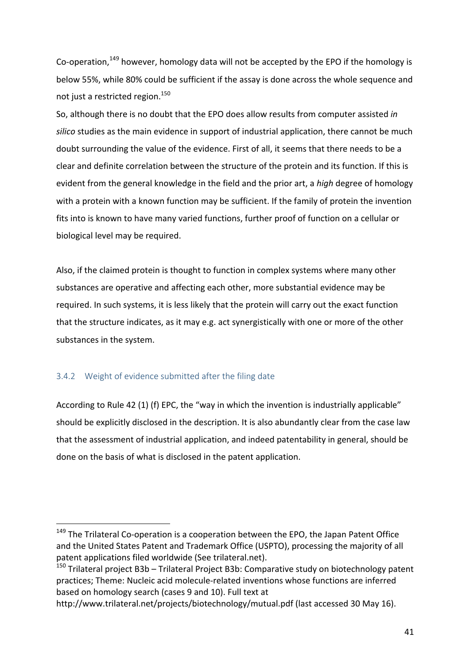Co-operation,  $149$  however, homology data will not be accepted by the EPO if the homology is below 55%, while 80% could be sufficient if the assay is done across the whole sequence and not just a restricted region. $^{150}$ 

So, although there is no doubt that the EPO does allow results from computer assisted in silico studies as the main evidence in support of industrial application, there cannot be much doubt surrounding the value of the evidence. First of all, it seems that there needs to be a clear and definite correlation between the structure of the protein and its function. If this is evident from the general knowledge in the field and the prior art, a *high* degree of homology with a protein with a known function may be sufficient. If the family of protein the invention fits into is known to have many varied functions, further proof of function on a cellular or biological level may be required.

Also, if the claimed protein is thought to function in complex systems where many other substances are operative and affecting each other, more substantial evidence may be required. In such systems, it is less likely that the protein will carry out the exact function that the structure indicates, as it may e.g. act synergistically with one or more of the other substances in the system.

#### 3.4.2 Weight of evidence submitted after the filing date

 

According to Rule 42 (1) (f) EPC, the "way in which the invention is industrially applicable" should be explicitly disclosed in the description. It is also abundantly clear from the case law that the assessment of industrial application, and indeed patentability in general, should be done on the basis of what is disclosed in the patent application.

http://www.trilateral.net/projects/biotechnology/mutual.pdf (last accessed 30 May 16).

 $149$  The Trilateral Co-operation is a cooperation between the EPO, the Japan Patent Office and the United States Patent and Trademark Office (USPTO), processing the majority of all patent applications filed worldwide (See trilateral.net).

 $150$  Trilateral project B3b – Trilateral Project B3b: Comparative study on biotechnology patent practices; Theme: Nucleic acid molecule-related inventions whose functions are inferred based on homology search (cases 9 and 10). Full text at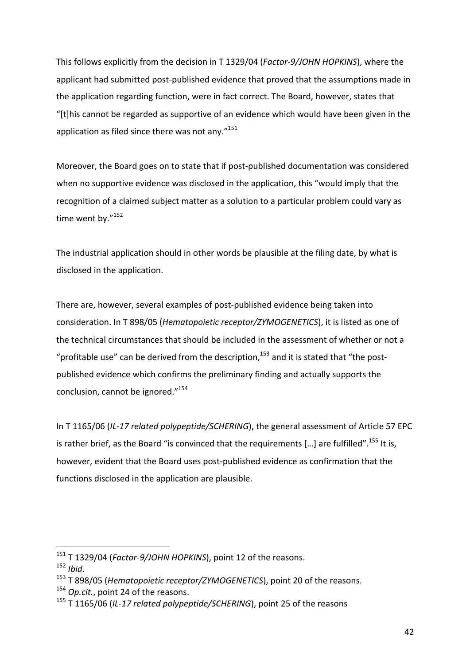This follows explicitly from the decision in T 1329/04 (*Factor-9/JOHN HOPKINS*), where the applicant had submitted post-published evidence that proved that the assumptions made in the application regarding function, were in fact correct. The Board, however, states that "[t]his cannot be regarded as supportive of an evidence which would have been given in the application as filed since there was not any. $"^{151}$ 

Moreover, the Board goes on to state that if post-published documentation was considered when no supportive evidence was disclosed in the application, this "would imply that the recognition of a claimed subject matter as a solution to a particular problem could vary as time went by."152

The industrial application should in other words be plausible at the filing date, by what is disclosed in the application.

There are, however, several examples of post-published evidence being taken into consideration. In T 898/05 (*Hematopoietic receptor/ZYMOGENETICS*), it is listed as one of the technical circumstances that should be included in the assessment of whether or not a "profitable use" can be derived from the description,<sup>153</sup> and it is stated that "the postpublished evidence which confirms the preliminary finding and actually supports the conclusion, cannot be ignored."<sup>154</sup>

In T 1165/06 (IL-17 related polypeptide/SCHERING), the general assessment of Article 57 EPC is rather brief, as the Board "is convinced that the requirements  $[...]$  are fulfilled".<sup>155</sup> It is, however, evident that the Board uses post-published evidence as confirmation that the functions disclosed in the application are plausible.

<sup>&</sup>lt;sup>151</sup> T 1329/04 (*Factor-9/JOHN HOPKINS*), point 12 of the reasons.

<sup>152</sup> *Ibid*.

<sup>&</sup>lt;sup>153</sup> T 898/05 (*Hematopoietic receptor/ZYMOGENETICS*), point 20 of the reasons.

<sup>&</sup>lt;sup>154</sup> *Op.cit.*, point 24 of the reasons.

<sup>&</sup>lt;sup>155</sup> T 1165/06 (IL-17 related polypeptide/SCHERING), point 25 of the reasons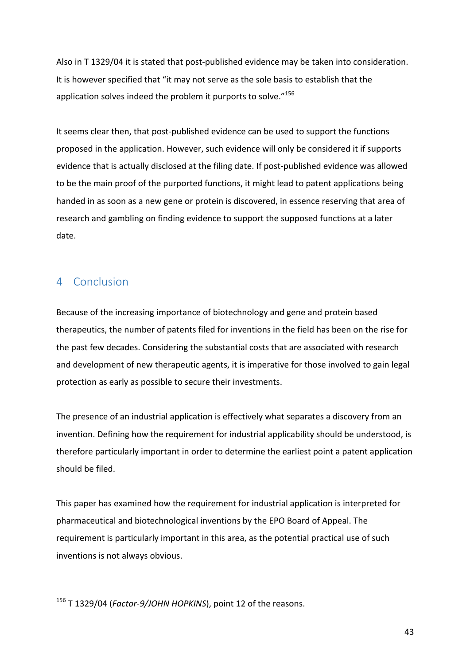Also in T 1329/04 it is stated that post-published evidence may be taken into consideration. It is however specified that "it may not serve as the sole basis to establish that the application solves indeed the problem it purports to solve. $n^{156}$ 

It seems clear then, that post-published evidence can be used to support the functions proposed in the application. However, such evidence will only be considered it if supports evidence that is actually disclosed at the filing date. If post-published evidence was allowed to be the main proof of the purported functions, it might lead to patent applications being handed in as soon as a new gene or protein is discovered, in essence reserving that area of research and gambling on finding evidence to support the supposed functions at a later date. 

# 4 Conclusion

Because of the increasing importance of biotechnology and gene and protein based therapeutics, the number of patents filed for inventions in the field has been on the rise for the past few decades. Considering the substantial costs that are associated with research and development of new therapeutic agents, it is imperative for those involved to gain legal protection as early as possible to secure their investments.

The presence of an industrial application is effectively what separates a discovery from an invention. Defining how the requirement for industrial applicability should be understood, is therefore particularly important in order to determine the earliest point a patent application should be filed.

This paper has examined how the requirement for industrial application is interpreted for pharmaceutical and biotechnological inventions by the EPO Board of Appeal. The requirement is particularly important in this area, as the potential practical use of such inventions is not always obvious.

<sup>&</sup>lt;sup>156</sup> T 1329/04 (*Factor-9/JOHN HOPKINS*), point 12 of the reasons.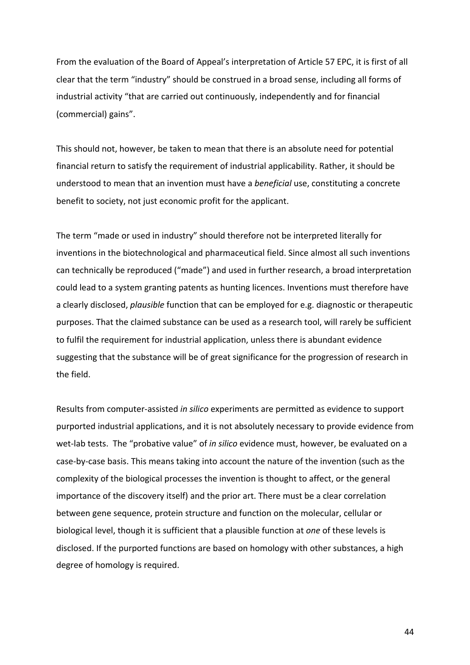From the evaluation of the Board of Appeal's interpretation of Article 57 EPC, it is first of all clear that the term "industry" should be construed in a broad sense, including all forms of industrial activity "that are carried out continuously, independently and for financial (commercial) gains".

This should not, however, be taken to mean that there is an absolute need for potential financial return to satisfy the requirement of industrial applicability. Rather, it should be understood to mean that an invention must have a *beneficial* use, constituting a concrete benefit to society, not just economic profit for the applicant.

The term "made or used in industry" should therefore not be interpreted literally for inventions in the biotechnological and pharmaceutical field. Since almost all such inventions can technically be reproduced ("made") and used in further research, a broad interpretation could lead to a system granting patents as hunting licences. Inventions must therefore have a clearly disclosed, *plausible* function that can be employed for e.g. diagnostic or therapeutic purposes. That the claimed substance can be used as a research tool, will rarely be sufficient to fulfil the requirement for industrial application, unless there is abundant evidence suggesting that the substance will be of great significance for the progression of research in the field.

Results from computer-assisted *in silico* experiments are permitted as evidence to support purported industrial applications, and it is not absolutely necessary to provide evidence from wet-lab tests. The "probative value" of *in silico* evidence must, however, be evaluated on a case-by-case basis. This means taking into account the nature of the invention (such as the complexity of the biological processes the invention is thought to affect, or the general importance of the discovery itself) and the prior art. There must be a clear correlation between gene sequence, protein structure and function on the molecular, cellular or biological level, though it is sufficient that a plausible function at one of these levels is disclosed. If the purported functions are based on homology with other substances, a high degree of homology is required.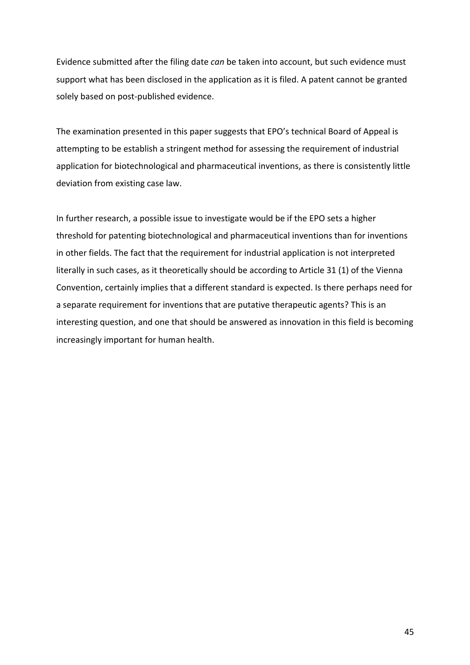Evidence submitted after the filing date *can* be taken into account, but such evidence must support what has been disclosed in the application as it is filed. A patent cannot be granted solely based on post-published evidence.

The examination presented in this paper suggests that EPO's technical Board of Appeal is attempting to be establish a stringent method for assessing the requirement of industrial application for biotechnological and pharmaceutical inventions, as there is consistently little deviation from existing case law.

In further research, a possible issue to investigate would be if the EPO sets a higher threshold for patenting biotechnological and pharmaceutical inventions than for inventions in other fields. The fact that the requirement for industrial application is not interpreted literally in such cases, as it theoretically should be according to Article 31 (1) of the Vienna Convention, certainly implies that a different standard is expected. Is there perhaps need for a separate requirement for inventions that are putative therapeutic agents? This is an interesting question, and one that should be answered as innovation in this field is becoming increasingly important for human health.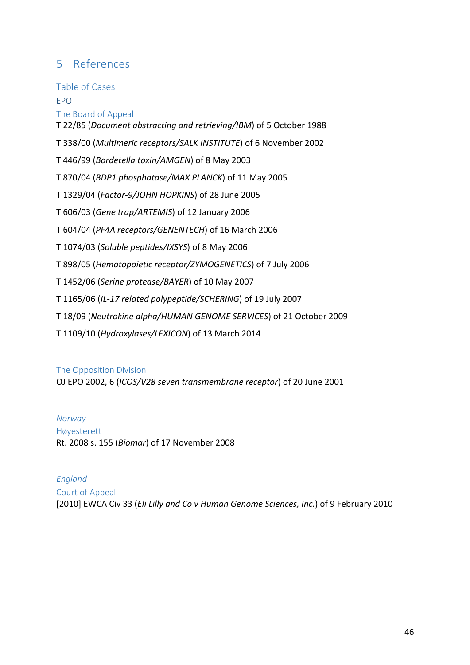# 5 References

Table of Cases EPO

The Board of Appeal

T 22/85 (*Document abstracting and retrieving/IBM*) of 5 October 1988

T 338/00 (Multimeric receptors/SALK INSTITUTE) of 6 November 2002

T 446/99 (*Bordetella toxin/AMGEN*) of 8 May 2003

T 870/04 (*BDP1 phosphatase/MAX PLANCK*) of 11 May 2005

T 1329/04 (*Factor-9/JOHN HOPKINS*) of 28 June 2005

T 606/03 (Gene trap/ARTEMIS) of 12 January 2006

T 604/04 (*PF4A receptors/GENENTECH*) of 16 March 2006

T 1074/03 (*Soluble peptides/IXSYS*) of 8 May 2006

T 898/05 (*Hematopoietic receptor/ZYMOGENETICS*) of 7 July 2006

T 1452/06 (*Serine protease/BAYER*) of 10 May 2007

T 1165/06 (*IL-17 related polypeptide/SCHERING*) of 19 July 2007

T 18/09 (*Neutrokine alpha/HUMAN GENOME SERVICES*) of 21 October 2009

T 1109/10 (Hydroxylases/LEXICON) of 13 March 2014

## The Opposition Division

OJ EPO 2002, 6 (*ICOS/V28 seven transmembrane receptor*) of 20 June 2001

*Norway* Høyesterett Rt. 2008 s. 155 (*Biomar*) of 17 November 2008

*England* Court of Appeal [2010] EWCA Civ 33 (Eli Lilly and Co v Human Genome Sciences, Inc.) of 9 February 2010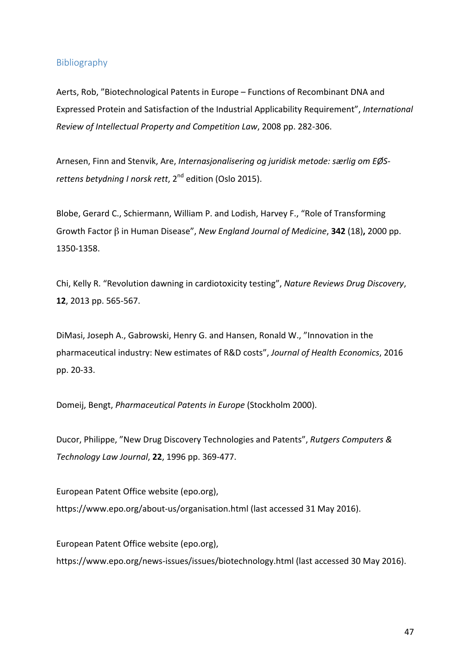#### Bibliography

Aerts, Rob, "Biotechnological Patents in Europe – Functions of Recombinant DNA and Expressed Protein and Satisfaction of the Industrial Applicability Requirement", International Review of Intellectual Property and Competition Law, 2008 pp. 282-306.

Arnesen, Finn and Stenvik, Are, *Internasjonalisering og juridisk metode: særlig om EØSrettens betydning I norsk rett*, 2<sup>nd</sup> edition (Oslo 2015).

Blobe, Gerard C., Schiermann, William P. and Lodish, Harvey F., "Role of Transforming Growth Factor β in Human Disease", *New England Journal of Medicine*, **342** (18)**,** 2000 pp. 1350-1358.

Chi, Kelly R. "Revolution dawning in cardiotoxicity testing", *Nature Reviews Drug Discovery*, **12**, 2013 pp. 565-567.

DiMasi, Joseph A., Gabrowski, Henry G. and Hansen, Ronald W., "Innovation in the pharmaceutical industry: New estimates of R&D costs", Journal of Health Economics, 2016 pp. 20-33.

Domeij, Bengt, *Pharmaceutical Patents in Europe* (Stockholm 2000).

Ducor, Philippe, "New Drug Discovery Technologies and Patents", Rutgers Computers & *Technology Law Journal*, **22**, 1996 pp. 369-477.

European Patent Office website (epo.org), https://www.epo.org/about-us/organisation.html (last accessed 31 May 2016).

European Patent Office website (epo.org), https://www.epo.org/news-issues/issues/biotechnology.html (last accessed 30 May 2016).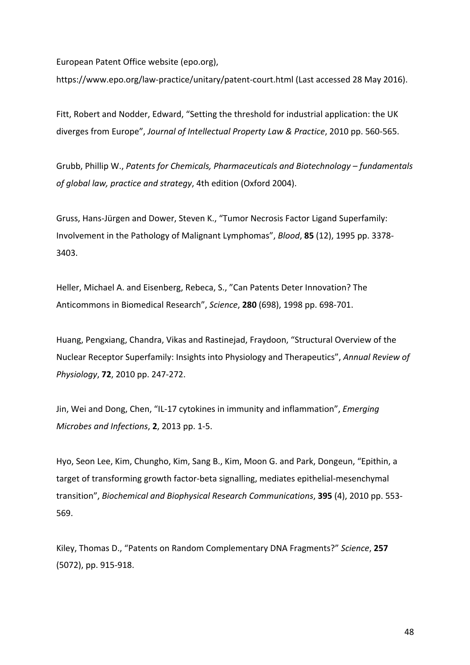European Patent Office website (epo.org),

https://www.epo.org/law-practice/unitary/patent-court.html (Last accessed 28 May 2016).

Fitt, Robert and Nodder, Edward, "Setting the threshold for industrial application: the UK diverges from Europe", *Journal of Intellectual Property Law & Practice*, 2010 pp. 560-565.

Grubb, Phillip W., Patents for Chemicals, Pharmaceuticals and Biotechnology – fundamentals of global law, practice and strategy, 4th edition (Oxford 2004).

Gruss, Hans-Jürgen and Dower, Steven K., "Tumor Necrosis Factor Ligand Superfamily: Involvement in the Pathology of Malignant Lymphomas", *Blood*, 85 (12), 1995 pp. 3378-3403.

Heller, Michael A. and Eisenberg, Rebeca, S., "Can Patents Deter Innovation? The Anticommons in Biomedical Research", Science, 280 (698), 1998 pp. 698-701.

Huang, Pengxiang, Chandra, Vikas and Rastinejad, Fraydoon, "Structural Overview of the Nuclear Receptor Superfamily: Insights into Physiology and Therapeutics", *Annual Review of Physiology*, **72**, 2010 pp. 247-272.

Jin, Wei and Dong, Chen, "IL-17 cytokines in immunity and inflammation", *Emerging Microbes and Infections*, **2**, 2013 pp. 1-5.

Hyo, Seon Lee, Kim, Chungho, Kim, Sang B., Kim, Moon G. and Park, Dongeun, "Epithin, a target of transforming growth factor-beta signalling, mediates epithelial-mesenchymal transition", *Biochemical and Biophysical Research Communications*, **395** (4), 2010 pp. 553-569.

Kiley, Thomas D., "Patents on Random Complementary DNA Fragments?" Science, 257 (5072), pp. 915-918.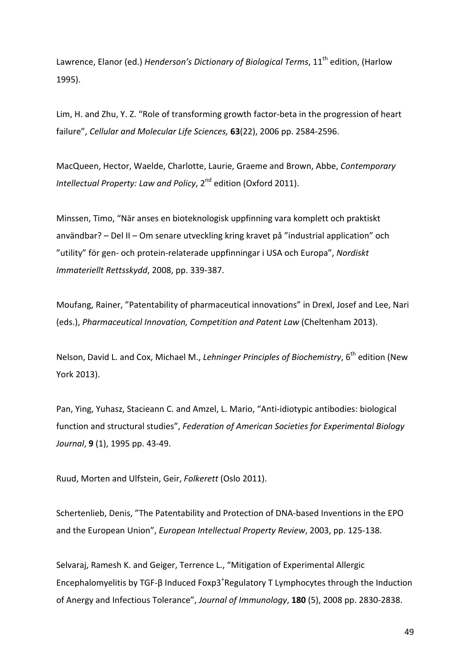Lawrence, Elanor (ed.) *Henderson's Dictionary of Biological Terms*, 11<sup>th</sup> edition, (Harlow 1995).

Lim, H. and Zhu, Y. Z. "Role of transforming growth factor-beta in the progression of heart failure", *Cellular and Molecular Life Sciences,* **63**(22), 2006 pp. 2584-2596.

MacQueen, Hector, Waelde, Charlotte, Laurie, Graeme and Brown, Abbe, Contemporary *Intellectual Property: Law and Policy,* 2<sup>nd</sup> edition (Oxford 2011).

Minssen, Timo, "När anses en bioteknologisk uppfinning vara komplett och praktiskt användbar? - Del II - Om senare utveckling kring kravet på "industrial application" och "utility" för gen- och protein-relaterade uppfinningar i USA och Europa", Nordiskt *Immateriellt Rettsskydd*, 2008, pp. 339-387.

Moufang, Rainer, "Patentability of pharmaceutical innovations" in Drexl, Josef and Lee, Nari (eds.), *Pharmaceutical Innovation, Competition and Patent Law* (Cheltenham 2013).

Nelson, David L. and Cox, Michael M., *Lehninger Principles of Biochemistry*, 6<sup>th</sup> edition (New York 2013).

Pan, Ying, Yuhasz, Stacieann C. and Amzel, L. Mario, "Anti-idiotypic antibodies: biological function and structural studies", *Federation of American Societies for Experimental Biology Journal*, 9(1), 1995 pp. 43-49.

Ruud, Morten and Ulfstein, Geir, *Folkerett* (Oslo 2011).

Schertenlieb, Denis, "The Patentability and Protection of DNA-based Inventions in the EPO and the European Union", *European Intellectual Property Review*, 2003, pp. 125-138.

Selvaraj, Ramesh K. and Geiger, Terrence L., "Mitigation of Experimental Allergic Encephalomyelitis by TGF- $\beta$  Induced Foxp3<sup>+</sup>Regulatory T Lymphocytes through the Induction of Anergy and Infectious Tolerance", *Journal of Immunology*, **180** (5), 2008 pp. 2830-2838.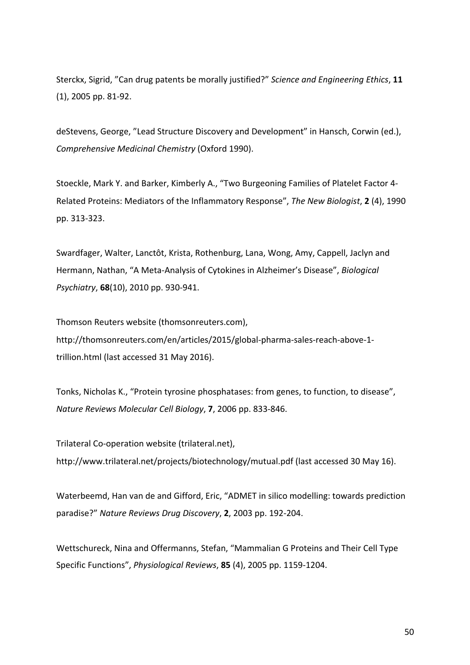Sterckx, Sigrid, "Can drug patents be morally justified?" Science and Engineering Ethics, 11  $(1)$ , 2005 pp. 81-92.

deStevens, George, "Lead Structure Discovery and Development" in Hansch, Corwin (ed.), *Comprehensive Medicinal Chemistry* (Oxford 1990).

Stoeckle, Mark Y. and Barker, Kimberly A., "Two Burgeoning Families of Platelet Factor 4-Related Proteins: Mediators of the Inflammatory Response", *The New Biologist*, 2(4), 1990 pp. 313-323.

Swardfager, Walter, Lanctôt, Krista, Rothenburg, Lana, Wong, Amy, Cappell, Jaclyn and Hermann, Nathan, "A Meta-Analysis of Cytokines in Alzheimer's Disease", *Biological Psychiatry*, **68**(10), 2010 pp. 930-941.

Thomson Reuters website (thomsonreuters.com), http://thomsonreuters.com/en/articles/2015/global-pharma-sales-reach-above-1 trillion.html (last accessed 31 May 2016).

Tonks, Nicholas K., "Protein tyrosine phosphatases: from genes, to function, to disease", *Nature Reviews Molecular Cell Biology*, **7**, 2006 pp. 833-846.

Trilateral Co-operation website (trilateral.net),

http://www.trilateral.net/projects/biotechnology/mutual.pdf (last accessed 30 May 16).

Waterbeemd, Han van de and Gifford, Eric, "ADMET in silico modelling: towards prediction paradise?" Nature Reviews Drug Discovery, 2, 2003 pp. 192-204.

Wettschureck, Nina and Offermanns, Stefan, "Mammalian G Proteins and Their Cell Type Specific Functions", *Physiological Reviews*, 85 (4), 2005 pp. 1159-1204.